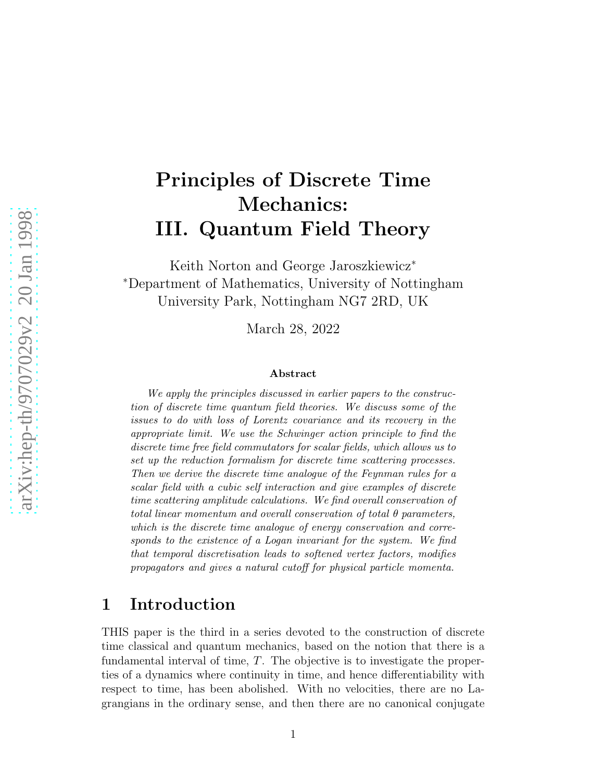# Principles of Discrete Time Mechanics: III. Quantum Field Theory

Keith Norton and George Jaroszkiewicz<sup>∗</sup> <sup>∗</sup>Department of Mathematics, University of Nottingham University Park, Nottingham NG7 2RD, UK

March 28, 2022

#### Abstract

We apply the principles discussed in earlier papers to the construction of discrete time quantum field theories. We discuss some of the issues to do with loss of Lorentz covariance and its recovery in the appropriate limit. We use the Schwinger action principle to find the discrete time free field commutators for scalar fields, which allows us to set up the reduction formalism for discrete time scattering processes. Then we derive the discrete time analogue of the Feynman rules for a scalar field with a cubic self interaction and give examples of discrete time scattering amplitude calculations. We find overall conservation of total linear momentum and overall conservation of total  $\theta$  parameters, which is the discrete time analogue of energy conservation and corresponds to the existence of a Logan invariant for the system. We find that temporal discretisation leads to softened vertex factors, modifies propagators and gives a natural cutoff for physical particle momenta.

## 1 Introduction

THIS paper is the third in a series devoted to the construction of discrete time classical and quantum mechanics, based on the notion that there is a fundamental interval of time,  $T$ . The objective is to investigate the properties of a dynamics where continuity in time, and hence differentiability with respect to time, has been abolished. With no velocities, there are no Lagrangians in the ordinary sense, and then there are no canonical conjugate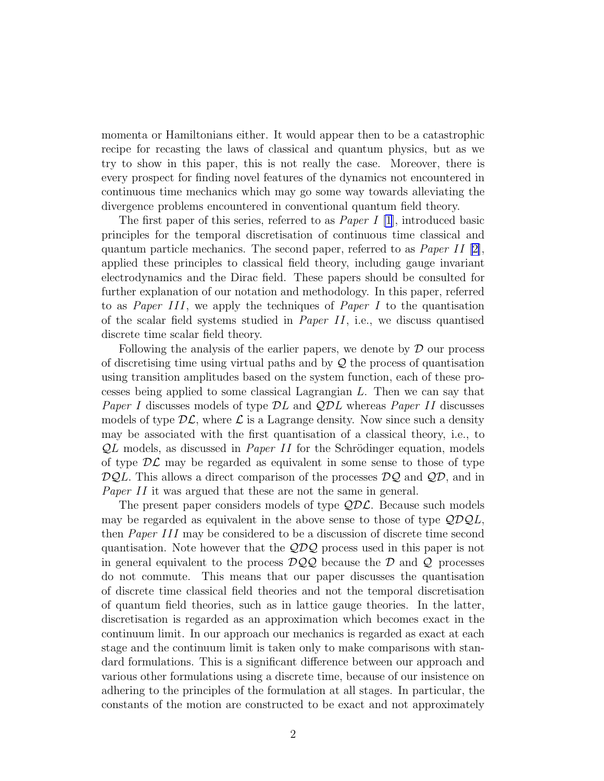momenta or Hamiltonians either. It would appear then to be a catastrophic recipe for recasting the laws of classical and quantum physics, but as we try to show in this paper, this is not really the case. Moreover, there is every prospect for finding novel features of the dynamics not encountered in continuous time mechanics which may go some way towards alleviating the divergence problems encountered in conventional quantum field theory.

The first paper of this series, referred to as *Paper I* [\[1](#page-28-0)], introduced basic principles for the temporal discretisation of continuous time classical and quantum particle mechanics. The second paper, referred to as *Paper II* [\[2\]](#page-28-0), applied these principles to classical field theory, including gauge invariant electrodynamics and the Dirac field. These papers should be consulted for further explanation of our notation and methodology. In this paper, referred to as Paper III, we apply the techniques of Paper I to the quantisation of the scalar field systems studied in *Paper II*, i.e., we discuss quantised discrete time scalar field theory.

Following the analysis of the earlier papers, we denote by  $\mathcal D$  our process of discretising time using virtual paths and by  $\mathcal Q$  the process of quantisation using transition amplitudes based on the system function, each of these processes being applied to some classical Lagrangian L. Then we can say that *Paper I* discusses models of type  $\mathcal{D}L$  and  $\mathcal{Q}DL$  whereas *Paper II* discusses models of type  $\mathcal{DL}$ , where  $\mathcal{L}$  is a Lagrange density. Now since such a density may be associated with the first quantisation of a classical theory, i.e., to  $QL$  models, as discussed in *Paper II* for the Schrödinger equation, models of type  $\mathcal{DL}$  may be regarded as equivalent in some sense to those of type  $\mathcal{D}\mathcal{Q}L$ . This allows a direct comparison of the processes  $\mathcal{D}\mathcal{Q}$  and  $\mathcal{Q}\mathcal{D}$ , and in Paper II it was argued that these are not the same in general.

The present paper considers models of type  $QD\mathcal{L}$ . Because such models may be regarded as equivalent in the above sense to those of type  $\mathcal{QDQL}$ , then Paper III may be considered to be a discussion of discrete time second quantisation. Note however that the  $\mathcal{QDQ}$  process used in this paper is not in general equivalent to the process  $DQQ$  because the D and Q processes do not commute. This means that our paper discusses the quantisation of discrete time classical field theories and not the temporal discretisation of quantum field theories, such as in lattice gauge theories. In the latter, discretisation is regarded as an approximation which becomes exact in the continuum limit. In our approach our mechanics is regarded as exact at each stage and the continuum limit is taken only to make comparisons with standard formulations. This is a significant difference between our approach and various other formulations using a discrete time, because of our insistence on adhering to the principles of the formulation at all stages. In particular, the constants of the motion are constructed to be exact and not approximately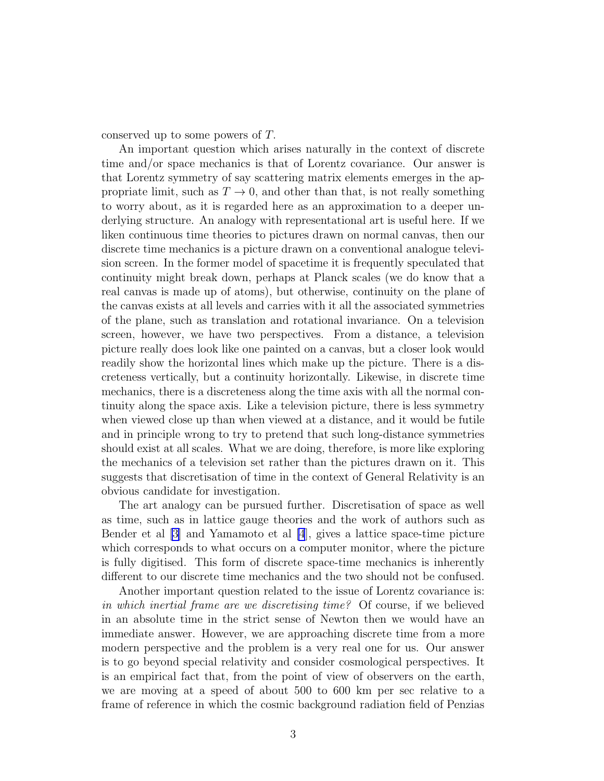conserved up to some powers of T.

An important question which arises naturally in the context of discrete time and/or space mechanics is that of Lorentz covariance. Our answer is that Lorentz symmetry of say scattering matrix elements emerges in the appropriate limit, such as  $T \to 0$ , and other than that, is not really something to worry about, as it is regarded here as an approximation to a deeper underlying structure. An analogy with representational art is useful here. If we liken continuous time theories to pictures drawn on normal canvas, then our discrete time mechanics is a picture drawn on a conventional analogue television screen. In the former model of spacetime it is frequently speculated that continuity might break down, perhaps at Planck scales (we do know that a real canvas is made up of atoms), but otherwise, continuity on the plane of the canvas exists at all levels and carries with it all the associated symmetries of the plane, such as translation and rotational invariance. On a television screen, however, we have two perspectives. From a distance, a television picture really does look like one painted on a canvas, but a closer look would readily show the horizontal lines which make up the picture. There is a discreteness vertically, but a continuity horizontally. Likewise, in discrete time mechanics, there is a discreteness along the time axis with all the normal continuity along the space axis. Like a television picture, there is less symmetry when viewed close up than when viewed at a distance, and it would be futile and in principle wrong to try to pretend that such long-distance symmetries should exist at all scales. What we are doing, therefore, is more like exploring the mechanics of a television set rather than the pictures drawn on it. This suggests that discretisation of time in the context of General Relativity is an obvious candidate for investigation.

The art analogy can be pursued further. Discretisation of space as well as time, such as in lattice gauge theories and the work of authors such as Bender et al [\[3\]](#page-28-0) and Yamamoto et al [\[4](#page-28-0)], gives a lattice space-time picture which corresponds to what occurs on a computer monitor, where the picture is fully digitised. This form of discrete space-time mechanics is inherently different to our discrete time mechanics and the two should not be confused.

Another important question related to the issue of Lorentz covariance is: in which inertial frame are we discretising time? Of course, if we believed in an absolute time in the strict sense of Newton then we would have an immediate answer. However, we are approaching discrete time from a more modern perspective and the problem is a very real one for us. Our answer is to go beyond special relativity and consider cosmological perspectives. It is an empirical fact that, from the point of view of observers on the earth, we are moving at a speed of about 500 to 600 km per sec relative to a frame of reference in which the cosmic background radiation field of Penzias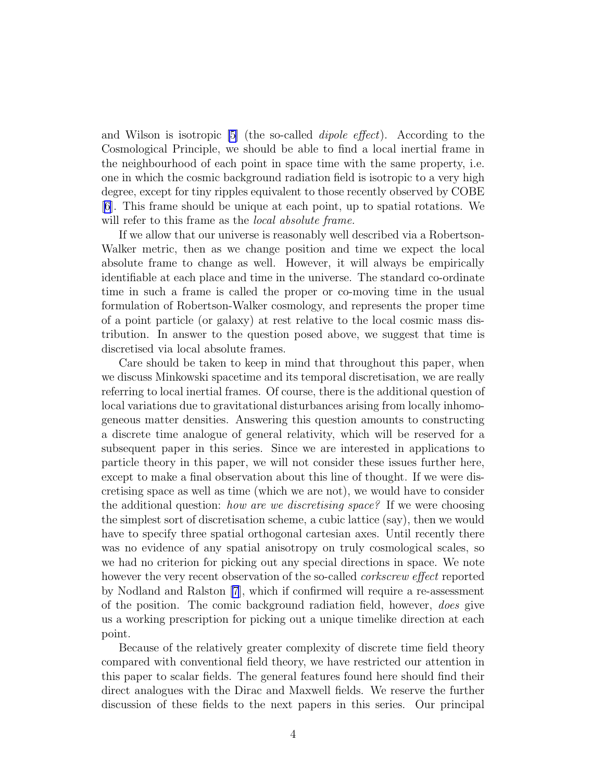and Wilson is isotropic [\[5](#page-28-0)] (the so-called dipole effect). According to the Cosmological Principle, we should be able to find a local inertial frame in the neighbourhood of each point in space time with the same property, i.e. one in which the cosmic background radiation field is isotropic to a very high degree, except for tiny ripples equivalent to those recently observed by COBE [\[6\]](#page-28-0). This frame should be unique at each point, up to spatial rotations. We will refer to this frame as the *local absolute frame*.

If we allow that our universe is reasonably well described via a Robertson-Walker metric, then as we change position and time we expect the local absolute frame to change as well. However, it will always be empirically identifiable at each place and time in the universe. The standard co-ordinate time in such a frame is called the proper or co-moving time in the usual formulation of Robertson-Walker cosmology, and represents the proper time of a point particle (or galaxy) at rest relative to the local cosmic mass distribution. In answer to the question posed above, we suggest that time is discretised via local absolute frames.

Care should be taken to keep in mind that throughout this paper, when we discuss Minkowski spacetime and its temporal discretisation, we are really referring to local inertial frames. Of course, there is the additional question of local variations due to gravitational disturbances arising from locally inhomogeneous matter densities. Answering this question amounts to constructing a discrete time analogue of general relativity, which will be reserved for a subsequent paper in this series. Since we are interested in applications to particle theory in this paper, we will not consider these issues further here, except to make a final observation about this line of thought. If we were discretising space as well as time (which we are not), we would have to consider the additional question: how are we discretising space? If we were choosing the simplest sort of discretisation scheme, a cubic lattice (say), then we would have to specify three spatial orthogonal cartesian axes. Until recently there was no evidence of any spatial anisotropy on truly cosmological scales, so we had no criterion for picking out any special directions in space. We note however the very recent observation of the so-called *corkscrew effect* reported by Nodland and Ralston [\[7](#page-28-0)], which if confirmed will require a re-assessment of the position. The comic background radiation field, however, does give us a working prescription for picking out a unique timelike direction at each point.

Because of the relatively greater complexity of discrete time field theory compared with conventional field theory, we have restricted our attention in this paper to scalar fields. The general features found here should find their direct analogues with the Dirac and Maxwell fields. We reserve the further discussion of these fields to the next papers in this series. Our principal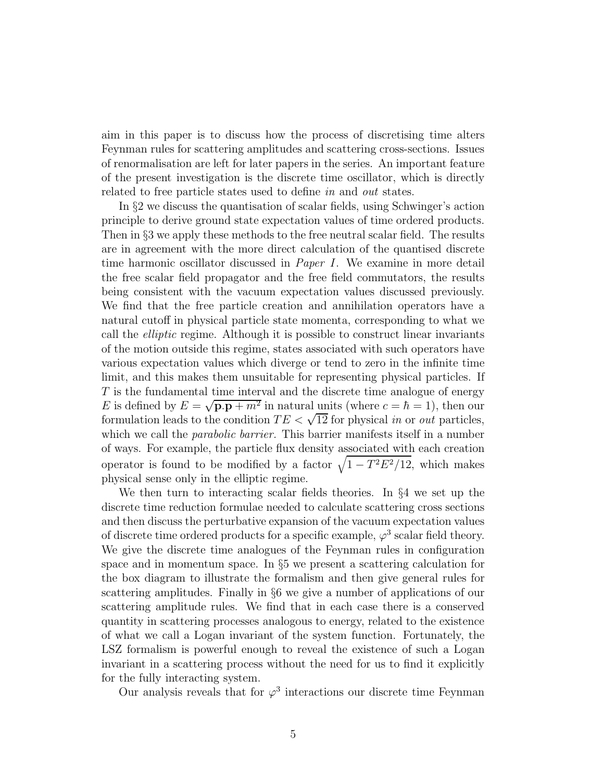aim in this paper is to discuss how the process of discretising time alters Feynman rules for scattering amplitudes and scattering cross-sections. Issues of renormalisation are left for later papers in the series. An important feature of the present investigation is the discrete time oscillator, which is directly related to free particle states used to define in and out states.

In §2 we discuss the quantisation of scalar fields, using Schwinger's action principle to derive ground state expectation values of time ordered products. Then in §3 we apply these methods to the free neutral scalar field. The results are in agreement with the more direct calculation of the quantised discrete time harmonic oscillator discussed in Paper I. We examine in more detail the free scalar field propagator and the free field commutators, the results being consistent with the vacuum expectation values discussed previously. We find that the free particle creation and annihilation operators have a natural cutoff in physical particle state momenta, corresponding to what we call the elliptic regime. Although it is possible to construct linear invariants of the motion outside this regime, states associated with such operators have various expectation values which diverge or tend to zero in the infinite time limit, and this makes them unsuitable for representing physical particles. If T is the fundamental time interval and the discrete time analogue of energy E is defined by  $E = \sqrt{\mathbf{p} \cdot \mathbf{p} + m^2}$  in natural units (where  $c = \hbar = 1$ ), then our formulation leads to the condition  $TE < \sqrt{12}$  for physical *in* or *out* particles, which we call the *parabolic barrier*. This barrier manifests itself in a number of ways. For example, the particle flux density associated with each creation operator is found to be modified by a factor  $\sqrt{1 - T^2 E^2 / 12}$ , which makes physical sense only in the elliptic regime.

We then turn to interacting scalar fields theories. In §4 we set up the discrete time reduction formulae needed to calculate scattering cross sections and then discuss the perturbative expansion of the vacuum expectation values of discrete time ordered products for a specific example,  $\varphi^3$  scalar field theory. We give the discrete time analogues of the Feynman rules in configuration space and in momentum space. In §5 we present a scattering calculation for the box diagram to illustrate the formalism and then give general rules for scattering amplitudes. Finally in §6 we give a number of applications of our scattering amplitude rules. We find that in each case there is a conserved quantity in scattering processes analogous to energy, related to the existence of what we call a Logan invariant of the system function. Fortunately, the LSZ formalism is powerful enough to reveal the existence of such a Logan invariant in a scattering process without the need for us to find it explicitly for the fully interacting system.

Our analysis reveals that for  $\varphi^3$  interactions our discrete time Feynman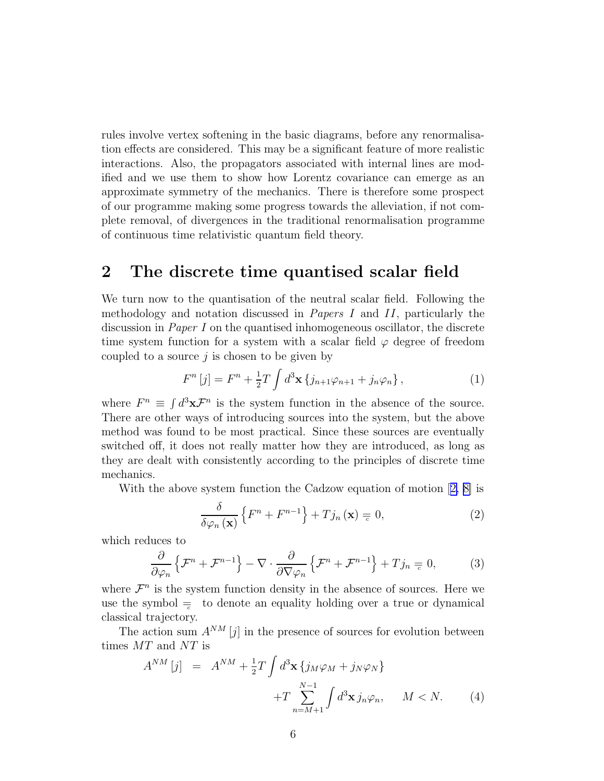<span id="page-5-0"></span>rules involve vertex softening in the basic diagrams, before any renormalisation effects are considered. This may be a significant feature of more realistic interactions. Also, the propagators associated with internal lines are modified and we use them to show how Lorentz covariance can emerge as an approximate symmetry of the mechanics. There is therefore some prospect of our programme making some progress towards the alleviation, if not complete removal, of divergences in the traditional renormalisation programme of continuous time relativistic quantum field theory.

# 2 The discrete time quantised scalar field

We turn now to the quantisation of the neutral scalar field. Following the methodology and notation discussed in Papers I and II, particularly the discussion in Paper I on the quantised inhomogeneous oscillator, the discrete time system function for a system with a scalar field  $\varphi$  degree of freedom coupled to a source  $j$  is chosen to be given by

$$
F^{n}[j] = F^{n} + \frac{1}{2}T \int d^{3}x \left\{ j_{n+1} \varphi_{n+1} + j_{n} \varphi_{n} \right\},
$$
 (1)

where  $F^n \equiv \int d^3x \mathcal{F}^n$  is the system function in the absence of the source. There are other ways of introducing sources into the system, but the above method was found to be most practical. Since these sources are eventually switched off, it does not really matter how they are introduced, as long as they are dealt with consistently according to the principles of discrete time mechanics.

With the above system function the Cadzow equation of motion[[2, 8\]](#page-28-0) is

$$
\frac{\delta}{\delta\varphi_n\left(\mathbf{x}\right)}\left\{F^n + F^{n-1}\right\} + Tj_n\left(\mathbf{x}\right) = 0,\tag{2}
$$

which reduces to

$$
\frac{\partial}{\partial \varphi_n} \left\{ \mathcal{F}^n + \mathcal{F}^{n-1} \right\} - \nabla \cdot \frac{\partial}{\partial \nabla \varphi_n} \left\{ \mathcal{F}^n + \mathcal{F}^{n-1} \right\} + Tj_n \equiv 0, \tag{3}
$$

where  $\mathcal{F}^n$  is the system function density in the absence of sources. Here we use the symbol  $\equiv$  to denote an equality holding over a true or dynamical classical trajectory.

The action sum  $A^{NM}$  [j] in the presence of sources for evolution between times  $MT$  and  $NT$  is

$$
A^{NM}[j] = A^{NM} + \frac{1}{2}T \int d^3 \mathbf{x} \left\{ j_M \varphi_M + j_N \varphi_N \right\}
$$

$$
+ T \sum_{n=M+1}^{N-1} \int d^3 \mathbf{x} j_n \varphi_n, \qquad M < N. \tag{4}
$$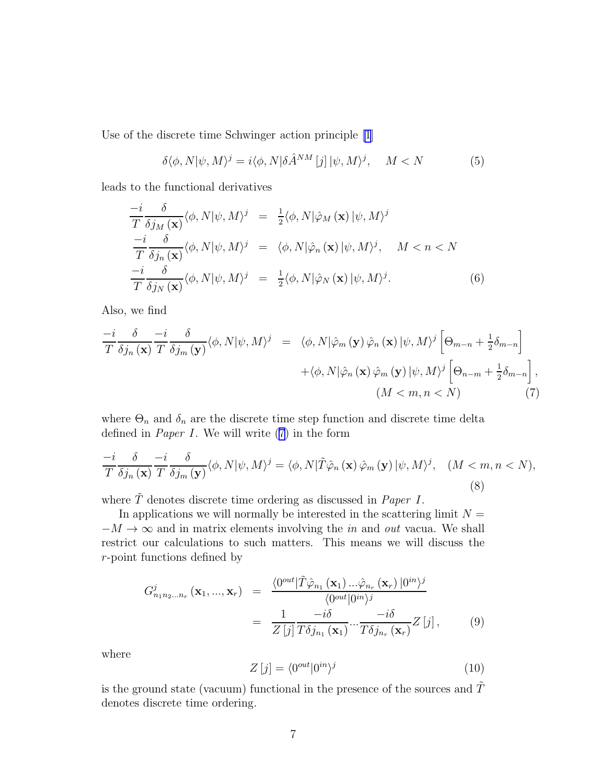<span id="page-6-0"></span>Use of the discrete time Schwinger action principle [\[1](#page-28-0)]

$$
\delta \langle \phi, N | \psi, M \rangle^j = i \langle \phi, N | \delta \hat{A}^{NM} [j] | \psi, M \rangle^j, \quad M < N \tag{5}
$$

leads to the functional derivatives

$$
\frac{-i}{T} \frac{\delta}{\delta j_M(\mathbf{x})} \langle \phi, N | \psi, M \rangle^j = \frac{1}{2} \langle \phi, N | \hat{\varphi}_M(\mathbf{x}) | \psi, M \rangle^j \n\frac{-i}{T} \frac{\delta}{\delta j_n(\mathbf{x})} \langle \phi, N | \psi, M \rangle^j = \langle \phi, N | \hat{\varphi}_n(\mathbf{x}) | \psi, M \rangle^j, \quad M < n < N \n\frac{-i}{T} \frac{\delta}{\delta j_N(\mathbf{x})} \langle \phi, N | \psi, M \rangle^j = \frac{1}{2} \langle \phi, N | \hat{\varphi}_N(\mathbf{x}) | \psi, M \rangle^j.
$$
\n
$$
(6)
$$

Also, we find

$$
\frac{-i}{T} \frac{\delta}{\delta j_n(\mathbf{x})} \frac{-i}{T} \frac{\delta}{\delta j_m(\mathbf{y})} \langle \phi, N | \psi, M \rangle^j = \langle \phi, N | \hat{\varphi}_m(\mathbf{y}) \hat{\varphi}_n(\mathbf{x}) | \psi, M \rangle^j \left[ \Theta_{m-n} + \frac{1}{2} \delta_{m-n} \right] + \langle \phi, N | \hat{\varphi}_n(\mathbf{x}) \hat{\varphi}_m(\mathbf{y}) | \psi, M \rangle^j \left[ \Theta_{n-m} + \frac{1}{2} \delta_{m-n} \right],
$$
\n
$$
(M < m, n < N) \tag{7}
$$

where  $\Theta_n$  and  $\delta_n$  are the discrete time step function and discrete time delta defined in *Paper I*. We will write  $(7)$  in the form

$$
\frac{-i}{T} \frac{\delta}{\delta j_n(\mathbf{x})} \frac{-i}{T} \frac{\delta}{\delta j_m(\mathbf{y})} \langle \phi, N | \psi, M \rangle^j = \langle \phi, N | \tilde{T} \hat{\varphi}_n(\mathbf{x}) \hat{\varphi}_m(\mathbf{y}) | \psi, M \rangle^j, \quad (M < m, n < N), \tag{8}
$$

where  $\tilde{T}$  denotes discrete time ordering as discussed in *Paper I*.

In applications we will normally be interested in the scattering limit  $N =$  $-M \to \infty$  and in matrix elements involving the *in* and *out* vacua. We shall restrict our calculations to such matters. This means we will discuss the r-point functions defined by

$$
G_{n_1 n_2 \dots n_r}^j(\mathbf{x}_1, ..., \mathbf{x}_r) = \frac{\langle 0^{out} | \tilde{T} \hat{\varphi}_{n_1}(\mathbf{x}_1) ... \hat{\varphi}_{n_r}(\mathbf{x}_r) | 0^{in} \rangle^j}{\langle 0^{out} | 0^{in} \rangle^j}
$$
  
= 
$$
\frac{1}{Z[j]} \frac{-i\delta}{T \delta j_{n_1}(\mathbf{x}_1)} ... \frac{-i\delta}{T \delta j_{n_r}(\mathbf{x}_r)} Z[j],
$$
(9)

where

$$
Z[j] = \langle 0^{out} | 0^{in} \rangle^j \tag{10}
$$

is the ground state (vacuum) functional in the presence of the sources and  $\tilde{T}$ denotes discrete time ordering.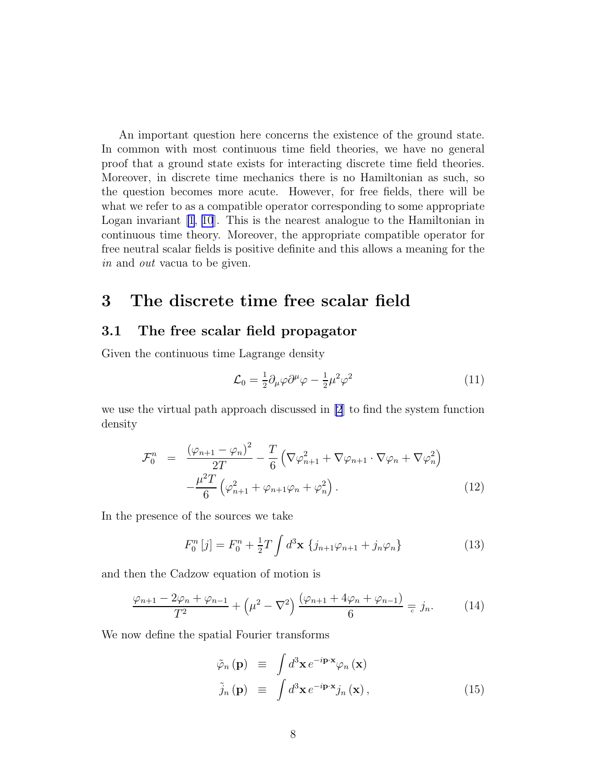<span id="page-7-0"></span>An important question here concerns the existence of the ground state. In common with most continuous time field theories, we have no general proof that a ground state exists for interacting discrete time field theories. Moreover, in discrete time mechanics there is no Hamiltonian as such, so the question becomes more acute. However, for free fields, there will be what we refer to as a compatible operator corresponding to some appropriate Logan invariant  $[1, 10]$  $[1, 10]$  $[1, 10]$ . This is the nearest analogue to the Hamiltonian in continuous time theory. Moreover, the appropriate compatible operator for free neutral scalar fields is positive definite and this allows a meaning for the in and out vacua to be given.

# 3 The discrete time free scalar field

### 3.1 The free scalar field propagator

Given the continuous time Lagrange density

$$
\mathcal{L}_0 = \frac{1}{2} \partial_\mu \varphi \partial^\mu \varphi - \frac{1}{2} \mu^2 \varphi^2 \tag{11}
$$

we use the virtual path approach discussed in [\[2](#page-28-0)] to find the system function density

$$
\mathcal{F}_0^n = \frac{(\varphi_{n+1} - \varphi_n)^2}{2T} - \frac{T}{6} \left( \nabla \varphi_{n+1}^2 + \nabla \varphi_{n+1} \cdot \nabla \varphi_n + \nabla \varphi_n^2 \right) - \frac{\mu^2 T}{6} \left( \varphi_{n+1}^2 + \varphi_{n+1} \varphi_n + \varphi_n^2 \right).
$$
\n(12)

In the presence of the sources we take

$$
F_0^n[j] = F_0^n + \frac{1}{2}T \int d^3 \mathbf{x} \{ j_{n+1} \varphi_{n+1} + j_n \varphi_n \}
$$
 (13)

and then the Cadzow equation of motion is

$$
\frac{\varphi_{n+1} - 2\varphi_n + \varphi_{n-1}}{T^2} + \left(\mu^2 - \nabla^2\right) \frac{(\varphi_{n+1} + 4\varphi_n + \varphi_{n-1})}{6} = j_n.
$$
 (14)

We now define the spatial Fourier transforms

$$
\tilde{\varphi}_n(\mathbf{p}) \equiv \int d^3 \mathbf{x} e^{-i \mathbf{p} \cdot \mathbf{x}} \varphi_n(\mathbf{x})
$$
\n
$$
\tilde{j}_n(\mathbf{p}) \equiv \int d^3 \mathbf{x} e^{-i \mathbf{p} \cdot \mathbf{x}} j_n(\mathbf{x}),
$$
\n(15)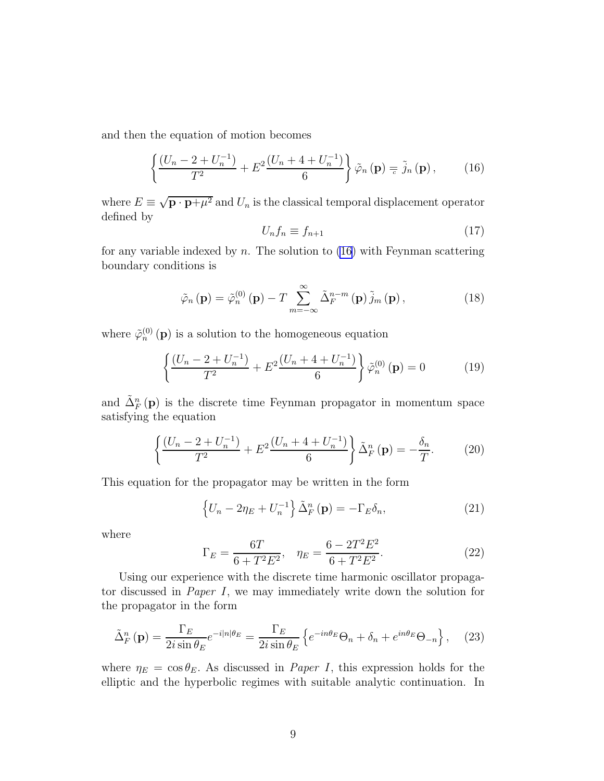<span id="page-8-0"></span>and then the equation of motion becomes

$$
\left\{\frac{\left(U_n-2+U_n^{-1}\right)}{T^2}+E^2\frac{\left(U_n+4+U_n^{-1}\right)}{6}\right\}\tilde{\varphi}_n\left(\mathbf{p}\right)\equiv\tilde{j}_n\left(\mathbf{p}\right),\qquad(16)
$$

where  $E \equiv \sqrt{\mathbf{p} \cdot \mathbf{p} + \mu^2}$  and  $U_n$  is the classical temporal displacement operator defined by

$$
U_n f_n \equiv f_{n+1} \tag{17}
$$

for any variable indexed by  $n$ . The solution to (16) with Feynman scattering boundary conditions is

$$
\tilde{\varphi}_n(\mathbf{p}) = \tilde{\varphi}_n^{(0)}(\mathbf{p}) - T \sum_{m=-\infty}^{\infty} \tilde{\Delta}_F^{n-m}(\mathbf{p}) \tilde{j}_m(\mathbf{p}), \qquad (18)
$$

where  $\tilde{\varphi}_n^{(0)}(\mathbf{p})$  is a solution to the homogeneous equation

$$
\left\{ \frac{(U_n - 2 + U_n^{-1})}{T^2} + E^2 \frac{(U_n + 4 + U_n^{-1})}{6} \right\} \tilde{\varphi}_n^{(0)}(\mathbf{p}) = 0 \tag{19}
$$

and  $\tilde{\Delta}_{F}^{n}(\mathbf{p})$  is the discrete time Feynman propagator in momentum space satisfying the equation

$$
\left\{ \frac{(U_n - 2 + U_n^{-1})}{T^2} + E^2 \frac{(U_n + 4 + U_n^{-1})}{6} \right\} \tilde{\Delta}_F^n(\mathbf{p}) = -\frac{\delta_n}{T}.
$$
 (20)

This equation for the propagator may be written in the form

$$
\left\{ U_n - 2\eta_E + U_n^{-1} \right\} \tilde{\Delta}_F^n \left( \mathbf{p} \right) = -\Gamma_E \delta_n, \tag{21}
$$

where

$$
\Gamma_E = \frac{6T}{6 + T^2 E^2}, \quad \eta_E = \frac{6 - 2T^2 E^2}{6 + T^2 E^2}.
$$
\n(22)

Using our experience with the discrete time harmonic oscillator propagator discussed in Paper I, we may immediately write down the solution for the propagator in the form

$$
\tilde{\Delta}_F^n(\mathbf{p}) = \frac{\Gamma_E}{2i \sin \theta_E} e^{-i|n|\theta_E} = \frac{\Gamma_E}{2i \sin \theta_E} \left\{ e^{-in\theta_E} \Theta_n + \delta_n + e^{in\theta_E} \Theta_{-n} \right\}, \quad (23)
$$

where  $\eta_E = \cos \theta_E$ . As discussed in *Paper I*, this expression holds for the elliptic and the hyperbolic regimes with suitable analytic continuation. In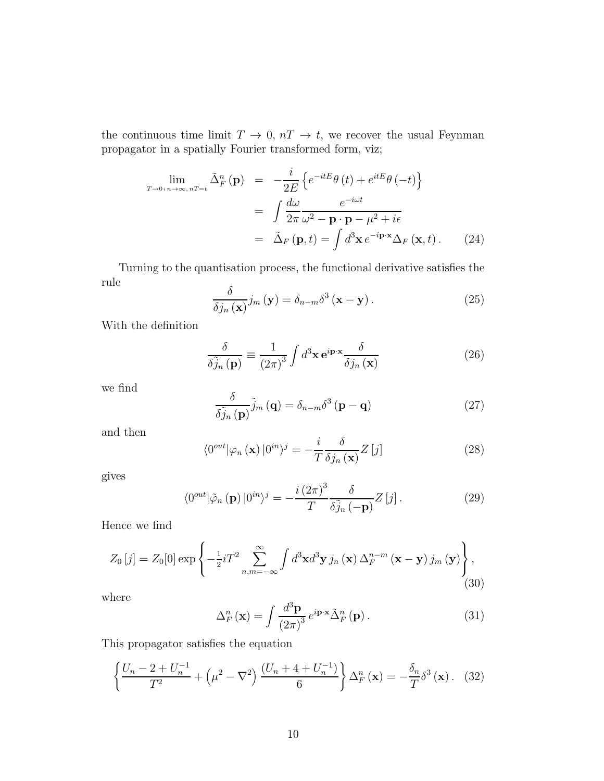<span id="page-9-0"></span>the continuous time limit  $T \to 0$ ,  $nT \to t$ , we recover the usual Feynman propagator in a spatially Fourier transformed form, viz;

$$
\lim_{T \to 0, n \to \infty, nT = t} \tilde{\Delta}_F^n(\mathbf{p}) = -\frac{i}{2E} \left\{ e^{-itE} \theta(t) + e^{itE} \theta(-t) \right\}
$$

$$
= \int \frac{d\omega}{2\pi} \frac{e^{-i\omega t}}{\omega^2 - \mathbf{p} \cdot \mathbf{p} - \mu^2 + i\epsilon}
$$

$$
= \tilde{\Delta}_F(\mathbf{p}, t) = \int d^3 \mathbf{x} e^{-i\mathbf{p} \cdot \mathbf{x}} \Delta_F(\mathbf{x}, t). \tag{24}
$$

Turning to the quantisation process, the functional derivative satisfies the rule δ

$$
\frac{\delta}{\delta j_n(\mathbf{x})} j_m(\mathbf{y}) = \delta_{n-m} \delta^3(\mathbf{x} - \mathbf{y}). \tag{25}
$$

With the definition

$$
\frac{\delta}{\delta \tilde{j}_n(\mathbf{p})} \equiv \frac{1}{(2\pi)^3} \int d^3 \mathbf{x} \,\mathbf{e}^{i\mathbf{p}\cdot\mathbf{x}} \frac{\delta}{\delta j_n(\mathbf{x})}
$$
(26)

we find

$$
\frac{\delta}{\delta \tilde{j}_n(\mathbf{p})} \tilde{j}_m(\mathbf{q}) = \delta_{n-m} \delta^3(\mathbf{p} - \mathbf{q})
$$
 (27)

and then

$$
\langle 0^{out} | \varphi_n (\mathbf{x}) | 0^{in} \rangle^j = -\frac{i}{T} \frac{\delta}{\delta j_n (\mathbf{x})} Z [j] \tag{28}
$$

gives

$$
\langle 0^{\text{out}} | \tilde{\varphi}_n \left( \mathbf{p} \right) | 0^{\text{in}} \rangle^j = -\frac{i (2\pi)^3}{T} \frac{\delta}{\delta \tilde{j}_n \left( -\mathbf{p} \right)} Z \left[ j \right]. \tag{29}
$$

Hence we find

$$
Z_0\left[j\right] = Z_0[0] \exp\left\{-\frac{1}{2}iT^2 \sum_{n,m=-\infty}^{\infty} \int d^3\mathbf{x} d^3\mathbf{y} \, j_n\left(\mathbf{x}\right) \Delta_F^{n-m}\left(\mathbf{x}-\mathbf{y}\right) j_m\left(\mathbf{y}\right) \right\},\tag{30}
$$

where

$$
\Delta_F^n(\mathbf{x}) = \int \frac{d^3 \mathbf{p}}{(2\pi)^3} e^{i\mathbf{p}\cdot\mathbf{x}} \tilde{\Delta}_F^n(\mathbf{p}). \tag{31}
$$

This propagator satisfies the equation

$$
\left\{\frac{U_n - 2 + U_n^{-1}}{T^2} + \left(\mu^2 - \nabla^2\right) \frac{(U_n + 4 + U_n^{-1})}{6}\right\} \Delta_F^n(\mathbf{x}) = -\frac{\delta_n}{T} \delta^3(\mathbf{x})\,. \tag{32}
$$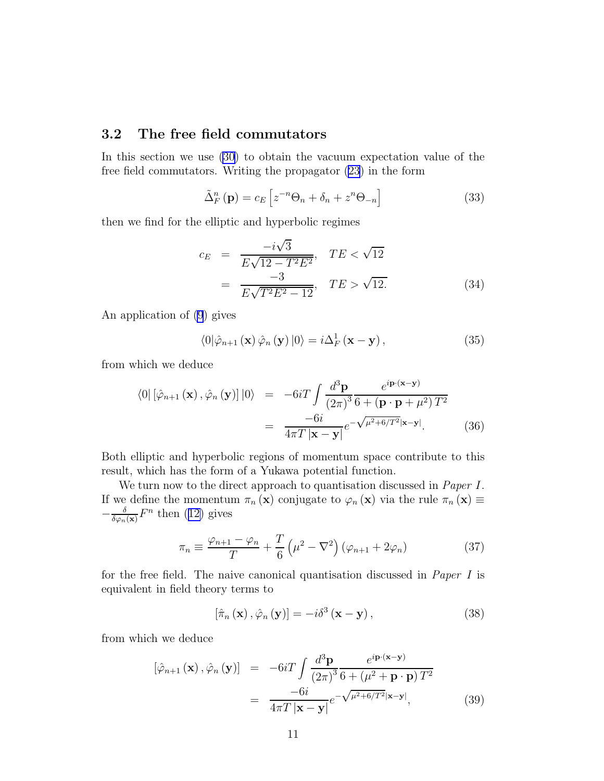### <span id="page-10-0"></span>3.2 The free field commutators

In this section we use [\(30](#page-9-0)) to obtain the vacuum expectation value of the free field commutators. Writing the propagator [\(23](#page-8-0)) in the form

$$
\tilde{\Delta}_F^n(\mathbf{p}) = c_E \left[ z^{-n} \Theta_n + \delta_n + z^n \Theta_{-n} \right]
$$
\n(33)

then we find for the elliptic and hyperbolic regimes

$$
c_E = \frac{-i\sqrt{3}}{E\sqrt{12 - T^2 E^2}}, \quad TE < \sqrt{12}
$$

$$
= \frac{-3}{E\sqrt{T^2 E^2 - 12}}, \quad TE > \sqrt{12}.
$$
(34)

An application of [\(9](#page-6-0)) gives

$$
\langle 0|\hat{\varphi}_{n+1}(\mathbf{x})\,\hat{\varphi}_n(\mathbf{y})\,|0\rangle = i\Delta_F^1(\mathbf{x} - \mathbf{y}),\tag{35}
$$

from which we deduce

$$
\langle 0 | \left[ \hat{\varphi}_{n+1} \left( \mathbf{x} \right), \hat{\varphi}_n \left( \mathbf{y} \right) \right] | 0 \rangle = -6i \int \frac{d^3 \mathbf{p}}{(2\pi)^3} \frac{e^{i \mathbf{p} \cdot (\mathbf{x} - \mathbf{y})}}{6 + (\mathbf{p} \cdot \mathbf{p} + \mu^2) T^2}
$$

$$
= \frac{-6i}{4\pi T |\mathbf{x} - \mathbf{y}|} e^{-\sqrt{\mu^2 + 6/T^2} |\mathbf{x} - \mathbf{y}|}. \tag{36}
$$

Both elliptic and hyperbolic regions of momentum space contribute to this result, which has the form of a Yukawa potential function.

We turn now to the direct approach to quantisation discussed in *Paper I*. If we define the momentum  $\pi_n(\mathbf{x})$  conjugate to  $\varphi_n(\mathbf{x})$  via the rule  $\pi_n(\mathbf{x}) \equiv$  $-\frac{\delta}{\delta \varphi_n}$  $\frac{\delta}{\delta \varphi_n({\bf x})} F^n$  $\frac{\delta}{\delta \varphi_n({\bf x})} F^n$  $\frac{\delta}{\delta \varphi_n({\bf x})} F^n$  then ([12\)](#page-7-0) gives

$$
\pi_n \equiv \frac{\varphi_{n+1} - \varphi_n}{T} + \frac{T}{6} \left( \mu^2 - \nabla^2 \right) \left( \varphi_{n+1} + 2\varphi_n \right) \tag{37}
$$

for the free field. The naive canonical quantisation discussed in Paper I is equivalent in field theory terms to

$$
\left[\hat{\pi}_n\left(\mathbf{x}\right),\hat{\varphi}_n\left(\mathbf{y}\right)\right] = -i\delta^3\left(\mathbf{x} - \mathbf{y}\right),\tag{38}
$$

from which we deduce

$$
[\hat{\varphi}_{n+1}(\mathbf{x}), \hat{\varphi}_n(\mathbf{y})] = -6iT \int \frac{d^3 \mathbf{p}}{(2\pi)^3} \frac{e^{i\mathbf{p}\cdot(\mathbf{x}-\mathbf{y})}}{6 + (\mu^2 + \mathbf{p}\cdot\mathbf{p})T^2}
$$

$$
= \frac{-6i}{4\pi T |\mathbf{x}-\mathbf{y}|} e^{-\sqrt{\mu^2 + 6/T^2}|\mathbf{x}-\mathbf{y}|}, \qquad (39)
$$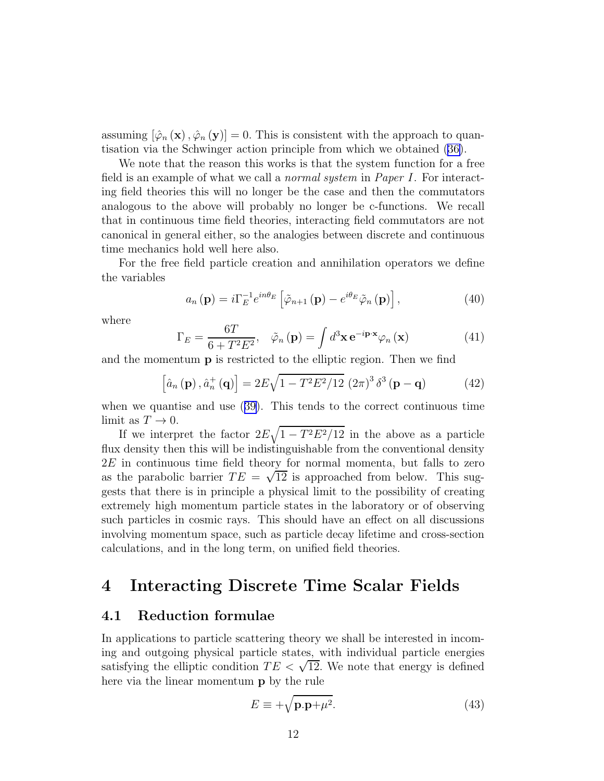assuming  $[\hat{\varphi}_n(\mathbf{x}), \hat{\varphi}_n(\mathbf{y})] = 0$ . This is consistent with the approach to quantisation via the Schwinger action principle from which we obtained [\(36\)](#page-10-0).

We note that the reason this works is that the system function for a free field is an example of what we call a *normal system* in *Paper I*. For interacting field theories this will no longer be the case and then the commutators analogous to the above will probably no longer be c-functions. We recall that in continuous time field theories, interacting field commutators are not canonical in general either, so the analogies between discrete and continuous time mechanics hold well here also.

For the free field particle creation and annihilation operators we define the variables

$$
a_n(\mathbf{p}) = i\Gamma_E^{-1} e^{in\theta_E} \left[ \tilde{\varphi}_{n+1}(\mathbf{p}) - e^{i\theta_E} \tilde{\varphi}_n(\mathbf{p}) \right], \tag{40}
$$

where

$$
\Gamma_E = \frac{6T}{6 + T^2 E^2}, \quad \tilde{\varphi}_n \left( \mathbf{p} \right) = \int d^3 \mathbf{x} \, \mathbf{e}^{-i \mathbf{p} \cdot \mathbf{x}} \varphi_n \left( \mathbf{x} \right) \tag{41}
$$

and the momentum p is restricted to the elliptic region. Then we find

$$
\left[\hat{a}_n\left(\mathbf{p}\right),\hat{a}_n^+\left(\mathbf{q}\right)\right] = 2E\sqrt{1 - T^2E^2/12}\,\left(2\pi\right)^3\delta^3\left(\mathbf{p} - \mathbf{q}\right) \tag{42}
$$

when we quantise and use([39\)](#page-10-0). This tends to the correct continuous time limit as  $T \to 0$ .

If we interpret the factor  $2E\sqrt{1-T^2E^2/12}$  in the above as a particle flux density then this will be indistinguishable from the conventional density 2E in continuous time field theory for normal momenta, but falls to zero as the parabolic barrier  $TE = \sqrt{12}$  is approached from below. This suggests that there is in principle a physical limit to the possibility of creating extremely high momentum particle states in the laboratory or of observing such particles in cosmic rays. This should have an effect on all discussions involving momentum space, such as particle decay lifetime and cross-section calculations, and in the long term, on unified field theories.

### 4 Interacting Discrete Time Scalar Fields

#### 4.1 Reduction formulae

In applications to particle scattering theory we shall be interested in incoming and outgoing physical particle states, with individual particle energies satisfying the elliptic condition  $TE < \sqrt{12}$ . We note that energy is defined here via the linear momentum p by the rule

$$
E \equiv +\sqrt{\mathbf{p}.\mathbf{p}+\mu^2}.\tag{43}
$$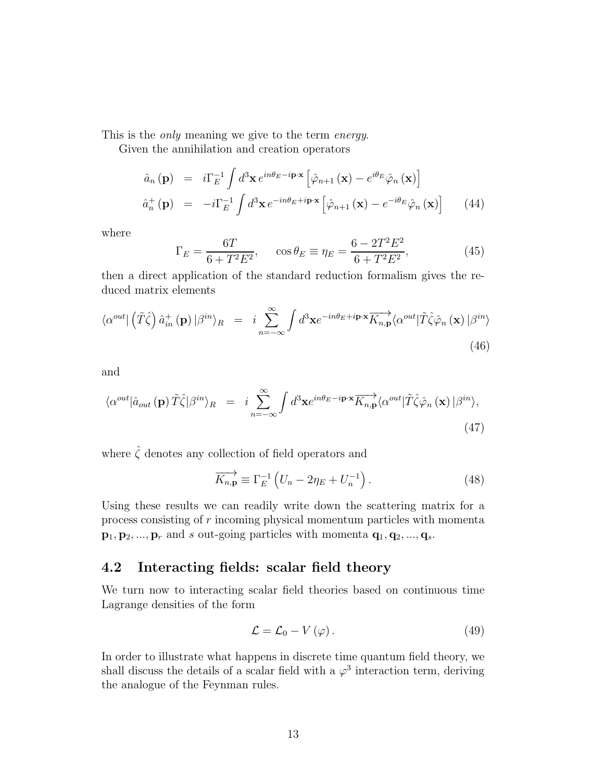<span id="page-12-0"></span>This is the only meaning we give to the term energy.

Given the annihilation and creation operators

$$
\hat{a}_{n}(\mathbf{p}) = i\Gamma_{E}^{-1} \int d^{3} \mathbf{x} e^{in\theta_{E}-i\mathbf{p}\cdot\mathbf{x}} \left[ \hat{\varphi}_{n+1}(\mathbf{x}) - e^{i\theta_{E}} \hat{\varphi}_{n}(\mathbf{x}) \right]
$$
\n
$$
\hat{a}_{n}^{+}(\mathbf{p}) = -i\Gamma_{E}^{-1} \int d^{3} \mathbf{x} e^{-in\theta_{E}+i\mathbf{p}\cdot\mathbf{x}} \left[ \hat{\varphi}_{n+1}(\mathbf{x}) - e^{-i\theta_{E}} \hat{\varphi}_{n}(\mathbf{x}) \right]
$$
\n(44)

where

$$
\Gamma_E = \frac{6T}{6 + T^2 E^2}, \qquad \cos \theta_E \equiv \eta_E = \frac{6 - 2T^2 E^2}{6 + T^2 E^2}, \tag{45}
$$

then a direct application of the standard reduction formalism gives the reduced matrix elements

$$
\langle \alpha^{out} | (\tilde{T}\hat{\zeta}) \hat{a}^+_{in}(\mathbf{p}) | \beta^{in} \rangle_R = i \sum_{n=-\infty}^{\infty} \int d^3 \mathbf{x} e^{-in\theta_E + i\mathbf{p} \cdot \mathbf{x}} \overrightarrow{K_{n,\mathbf{p}}} \langle \alpha^{out} | \tilde{T}\hat{\zeta} \hat{\varphi}_n(\mathbf{x}) | \beta^{in} \rangle
$$
\n(46)

and

$$
\langle \alpha^{out} | \hat{a}_{out} (\mathbf{p}) \tilde{T} \hat{\zeta} | \beta^{in} \rangle_R = i \sum_{n=-\infty}^{\infty} \int d^3 \mathbf{x} e^{in\theta_E - i \mathbf{p} \cdot \mathbf{x}} \overrightarrow{K_{n,\mathbf{p}}} \langle \alpha^{out} | \tilde{T} \hat{\zeta} \hat{\varphi}_n (\mathbf{x}) | \beta^{in} \rangle, \tag{47}
$$

where  $\hat{\zeta}$  denotes any collection of field operators and

$$
\overrightarrow{K_{n,\mathbf{p}}} \equiv \Gamma_E^{-1} \left( U_n - 2\eta_E + U_n^{-1} \right). \tag{48}
$$

Using these results we can readily write down the scattering matrix for a process consisting of r incoming physical momentum particles with momenta  $\mathbf{p}_1, \mathbf{p}_2, ..., \mathbf{p}_r$  and s out-going particles with momenta  $\mathbf{q}_1, \mathbf{q}_2, ..., \mathbf{q}_s$ .

### 4.2 Interacting fields: scalar field theory

We turn now to interacting scalar field theories based on continuous time Lagrange densities of the form

$$
\mathcal{L} = \mathcal{L}_0 - V(\varphi). \tag{49}
$$

In order to illustrate what happens in discrete time quantum field theory, we shall discuss the details of a scalar field with a  $\varphi^3$  interaction term, deriving the analogue of the Feynman rules.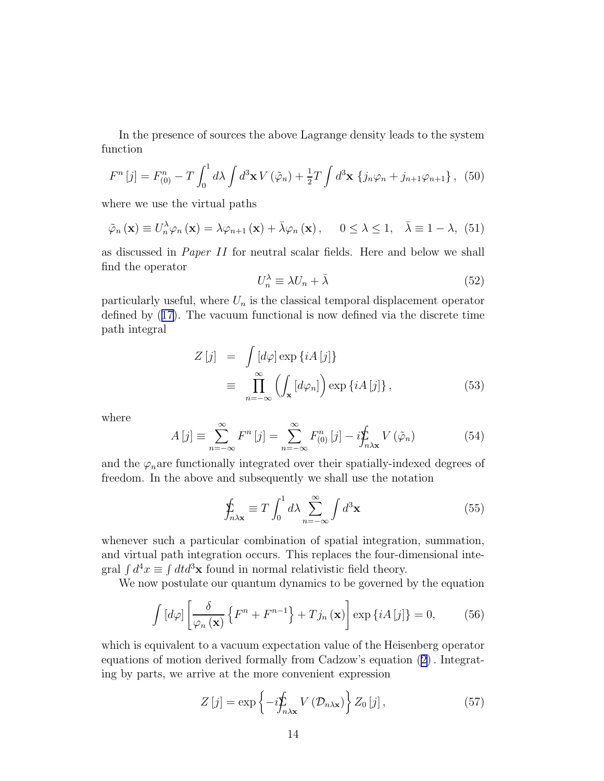In the presence of sources the above Lagrange density leads to the system function

$$
F^{n}[j] = F_{(0)}^{n} - T \int_{0}^{1} d\lambda \int d^{3} \mathbf{x} V(\tilde{\varphi}_{n}) + \frac{1}{2} T \int d^{3} \mathbf{x} \left\{ j_{n} \varphi_{n} + j_{n+1} \varphi_{n+1} \right\}, \tag{50}
$$

where we use the virtual paths

$$
\tilde{\varphi}_n(\mathbf{x}) \equiv U_n^{\lambda} \varphi_n(\mathbf{x}) = \lambda \varphi_{n+1}(\mathbf{x}) + \bar{\lambda} \varphi_n(\mathbf{x}), \quad 0 \le \lambda \le 1, \quad \bar{\lambda} \equiv 1 - \lambda, \tag{51}
$$

as discussed in Paper II for neutral scalar fields. Here and below we shall find the operator

$$
U_n^{\lambda} \equiv \lambda U_n + \bar{\lambda} \tag{52}
$$

particularly useful, where  $U_n$  is the classical temporal displacement operator defined by([17\)](#page-8-0). The vacuum functional is now defined via the discrete time path integral

$$
Z[j] = \int [d\varphi] \exp \{iA[j]\}
$$
  

$$
\equiv \prod_{n=-\infty}^{\infty} \left( \int_{\mathbf{x}} [d\varphi_n] \right) \exp \{iA[j]\},
$$
 (53)

where

$$
A[j] \equiv \sum_{n=-\infty}^{\infty} F^n[j] = \sum_{n=-\infty}^{\infty} F_{(0)}^n[j] - i \sum_{n \lambda x}^{\infty} V(\tilde{\varphi}_n)
$$
(54)

and the  $\varphi_n$  are functionally integrated over their spatially-indexed degrees of freedom. In the above and subsequently we shall use the notation

$$
\oint_{n\lambda x} \equiv T \int_0^1 d\lambda \sum_{n=-\infty}^\infty \int d^3 x \tag{55}
$$

whenever such a particular combination of spatial integration, summation, and virtual path integration occurs. This replaces the four-dimensional integral  $\int d^4x \equiv \int dt d^3x$  found in normal relativistic field theory.

We now postulate our quantum dynamics to be governed by the equation

$$
\int \left[ d\varphi \right] \left[ \frac{\delta}{\varphi_n \left( \mathbf{x} \right)} \left\{ F^n + F^{n-1} \right\} + T j_n \left( \mathbf{x} \right) \right] \exp \left\{ iA \left[ j \right] \right\} = 0, \tag{56}
$$

which is equivalent to a vacuum expectation value of the Heisenberg operator equations of motion derived formally from Cadzow's equation [\(2\)](#page-5-0). Integrating by parts, we arrive at the more convenient expression

$$
Z\left[j\right] = \exp\left\{-i\sum_{n\lambda x} V\left(\mathcal{D}_{n\lambda x}\right)\right\} Z_0\left[j\right],\tag{57}
$$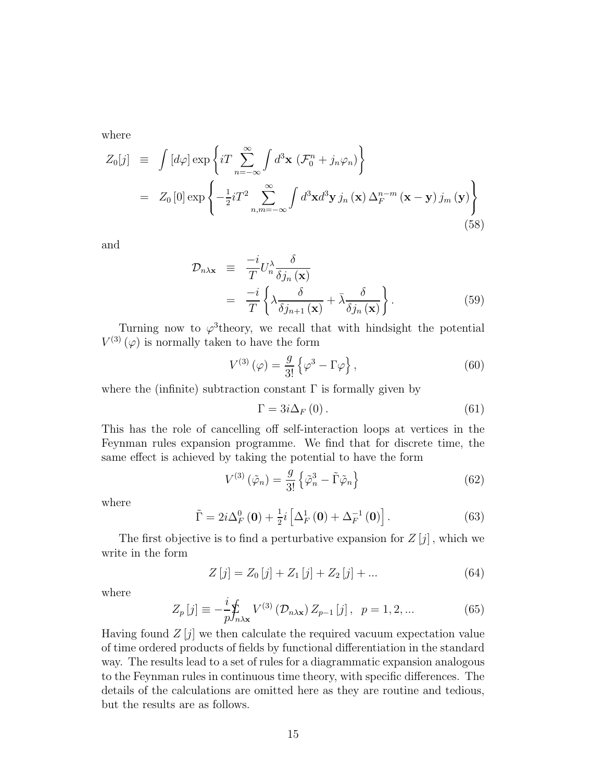<span id="page-14-0"></span>where

$$
Z_0[j] \equiv \int [d\varphi] \exp\left\{ iT \sum_{n=-\infty}^{\infty} \int d^3 \mathbf{x} \left( \mathcal{F}_0^n + j_n \varphi_n \right) \right\}
$$
  

$$
= Z_0[0] \exp\left\{ -\frac{1}{2} iT^2 \sum_{n,m=-\infty}^{\infty} \int d^3 \mathbf{x} d^3 \mathbf{y} j_n(\mathbf{x}) \Delta_F^{n-m}(\mathbf{x} - \mathbf{y}) j_m(\mathbf{y}) \right\}
$$
(58)

and

$$
\mathcal{D}_{n\lambda x} \equiv \frac{-i}{T} U_n^{\lambda} \frac{\delta}{\delta j_n(\mathbf{x})}
$$
  
= 
$$
\frac{-i}{T} \left\{ \lambda \frac{\delta}{\delta j_{n+1}(\mathbf{x})} + \bar{\lambda} \frac{\delta}{\delta j_n(\mathbf{x})} \right\}.
$$
 (59)

Turning now to  $\varphi^3$  theory, we recall that with hindsight the potential  $V^{(3)}(\varphi)$  is normally taken to have the form

$$
V^{(3)}\left(\varphi\right) = \frac{g}{3!} \left\{ \varphi^3 - \Gamma \varphi \right\},\tag{60}
$$

where the (infinite) subtraction constant  $\Gamma$  is formally given by

$$
\Gamma = 3i\Delta_F(0) \,. \tag{61}
$$

This has the role of cancelling off self-interaction loops at vertices in the Feynman rules expansion programme. We find that for discrete time, the same effect is achieved by taking the potential to have the form

$$
V^{(3)}\left(\tilde{\varphi}_n\right) = \frac{g}{3!} \left\{\tilde{\varphi}_n^3 - \tilde{\Gamma}\tilde{\varphi}_n\right\} \tag{62}
$$

where

$$
\tilde{\Gamma} = 2i\Delta_F^0\left(\mathbf{0}\right) + \frac{1}{2}i\left[\Delta_F^1\left(\mathbf{0}\right) + \Delta_F^{-1}\left(\mathbf{0}\right)\right].\tag{63}
$$

The first objective is to find a perturbative expansion for  $Z[j]$ , which we write in the form

$$
Z[j] = Z_0[j] + Z_1[j] + Z_2[j] + \dots \tag{64}
$$

where

$$
Z_p[j] \equiv -\frac{i}{p} \sum_{n \lambda x} V^{(3)}\left(\mathcal{D}_{n\lambda x}\right) Z_{p-1}[j], \ \ p = 1, 2, \dots \tag{65}
$$

Having found  $Z[j]$  we then calculate the required vacuum expectation value of time ordered products of fields by functional differentiation in the standard way. The results lead to a set of rules for a diagrammatic expansion analogous to the Feynman rules in continuous time theory, with specific differences. The details of the calculations are omitted here as they are routine and tedious, but the results are as follows.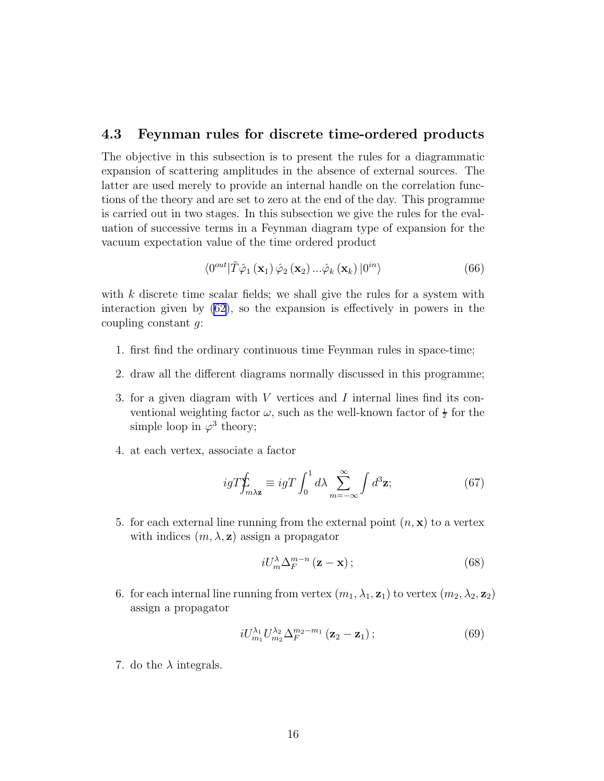#### 4.3 Feynman rules for discrete time-ordered products

The objective in this subsection is to present the rules for a diagrammatic expansion of scattering amplitudes in the absence of external sources. The latter are used merely to provide an internal handle on the correlation functions of the theory and are set to zero at the end of the day. This programme is carried out in two stages. In this subsection we give the rules for the evaluation of successive terms in a Feynman diagram type of expansion for the vacuum expectation value of the time ordered product

$$
\langle 0^{\text{out}} | \tilde{T} \hat{\varphi}_1 (\mathbf{x}_1) \hat{\varphi}_2 (\mathbf{x}_2) \dots \hat{\varphi}_k (\mathbf{x}_k) | 0^{\text{in}} \rangle \tag{66}
$$

with  $k$  discrete time scalar fields; we shall give the rules for a system with interaction given by [\(62](#page-14-0)), so the expansion is effectively in powers in the coupling constant  $q$ :

- 1. first find the ordinary continuous time Feynman rules in space-time;
- 2. draw all the different diagrams normally discussed in this programme;
- 3. for a given diagram with V vertices and I internal lines find its conventional weighting factor  $\omega$ , such as the well-known factor of  $\frac{1}{2}$  for the simple loop in  $\varphi^3$  theory;
- 4. at each vertex, associate a factor

$$
igT\oint_{m\lambda z} \equiv igT \int_0^1 d\lambda \sum_{m=-\infty}^\infty \int d^3 z; \tag{67}
$$

5. for each external line running from the external point  $(n, \mathbf{x})$  to a vertex with indices  $(m, \lambda, z)$  assign a propagator

$$
iU_m^{\lambda} \Delta_F^{m-n} \left( \mathbf{z} - \mathbf{x} \right); \tag{68}
$$

6. for each internal line running from vertex  $(m_1, \lambda_1, \mathbf{z}_1)$  to vertex  $(m_2, \lambda_2, \mathbf{z}_2)$ assign a propagator

$$
iU_{m_1}^{\lambda_1}U_{m_2}^{\lambda_2}\Delta_F^{m_2-m_1}(\mathbf{z}_2-\mathbf{z}_1); \qquad (69)
$$

7. do the  $\lambda$  integrals.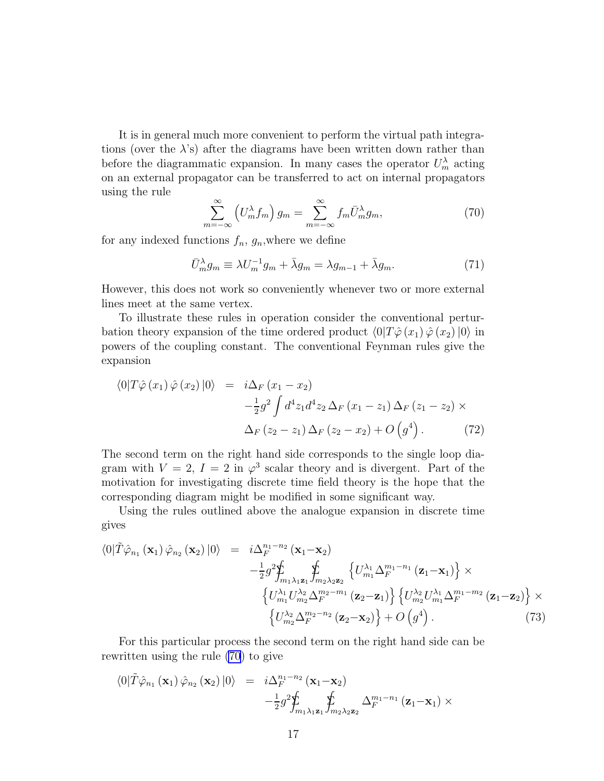It is in general much more convenient to perform the virtual path integrations (over the  $\lambda$ 's) after the diagrams have been written down rather than before the diagrammatic expansion. In many cases the operator  $U_m^{\lambda}$  acting on an external propagator can be transferred to act on internal propagators using the rule

$$
\sum_{m=-\infty}^{\infty} \left( U_m^{\lambda} f_m \right) g_m = \sum_{m=-\infty}^{\infty} f_m \bar{U}_m^{\lambda} g_m, \tag{70}
$$

for any indexed functions  $f_n$ ,  $g_n$ , where we define

$$
\bar{U}_m^{\lambda} g_m \equiv \lambda U_m^{-1} g_m + \bar{\lambda} g_m = \lambda g_{m-1} + \bar{\lambda} g_m. \tag{71}
$$

However, this does not work so conveniently whenever two or more external lines meet at the same vertex.

To illustrate these rules in operation consider the conventional perturbation theory expansion of the time ordered product  $\langle 0|T\hat{\varphi}(x_1)\hat{\varphi}(x_2)|0\rangle$  in powers of the coupling constant. The conventional Feynman rules give the expansion

$$
\langle 0|T\hat{\varphi}(x_1)\hat{\varphi}(x_2)|0\rangle = i\Delta_F (x_1 - x_2) -\frac{1}{2}g^2 \int d^4 z_1 d^4 z_2 \Delta_F (x_1 - z_1) \Delta_F (z_1 - z_2) \times \Delta_F (z_2 - z_1) \Delta_F (z_2 - x_2) + O(g^4).
$$
 (72)

The second term on the right hand side corresponds to the single loop diagram with  $V = 2$ ,  $I = 2$  in  $\varphi^3$  scalar theory and is divergent. Part of the motivation for investigating discrete time field theory is the hope that the corresponding diagram might be modified in some significant way.

Using the rules outlined above the analogue expansion in discrete time gives

$$
\langle 0|\tilde{T}\hat{\varphi}_{n_1}(\mathbf{x}_1)\hat{\varphi}_{n_2}(\mathbf{x}_2)|0\rangle = i\Delta_F^{n_1-n_2}(\mathbf{x}_1-\mathbf{x}_2) \n- \frac{1}{2}g^2 \sum_{m_1\lambda_1\mathbf{z}_1}^{\mathbf{f}} \int_{m_2\lambda_2\mathbf{z}_2} \left\{ U_{m_1}^{\lambda_1} \Delta_F^{m_1-n_1}(\mathbf{z}_1-\mathbf{x}_1) \right\} \times \n\left\{ U_{m_1}^{\lambda_1} U_{m_2}^{\lambda_2} \Delta_F^{m_2-m_1}(\mathbf{z}_2-\mathbf{z}_1) \right\} \left\{ U_{m_2}^{\lambda_2} U_{m_1}^{\lambda_1} \Delta_F^{m_1-m_2}(\mathbf{z}_1-\mathbf{z}_2) \right\} \times \n\left\{ U_{m_2}^{\lambda_2} \Delta_F^{m_2-n_2}(\mathbf{z}_2-\mathbf{x}_2) \right\} + O\left(g^4\right).
$$
\n(73)

For this particular process the second term on the right hand side can be rewritten using the rule (70) to give

$$
\langle 0|\tilde{T}\hat{\varphi}_{n_1}(\mathbf{x}_1)\hat{\varphi}_{n_2}(\mathbf{x}_2)|0\rangle = i\Delta_F^{n_1-n_2}(\mathbf{x}_1-\mathbf{x}_2) -\frac{1}{2}g^2\hat{\mathbf{y}}_{m_1\lambda_1\mathbf{z}_1} \hat{\mathbf{y}}_{m_2\lambda_2\mathbf{z}_2} \Delta_F^{m_1-n_1}(\mathbf{z}_1-\mathbf{x}_1) \times
$$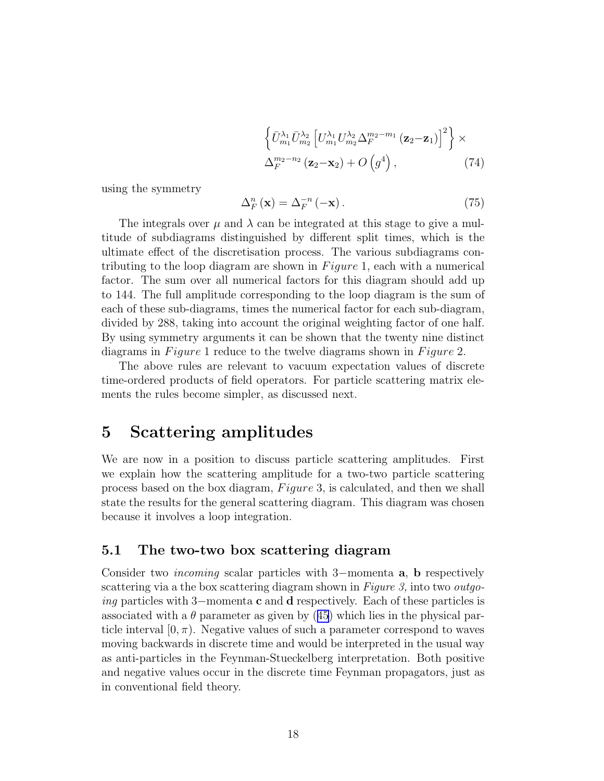$$
\left\{\bar{U}_{m_1}^{\lambda_1} \bar{U}_{m_2}^{\lambda_2} \left[U_{m_1}^{\lambda_1} U_{m_2}^{\lambda_2} \Delta_F^{m_2 - m_1} \left(\mathbf{z}_2 - \mathbf{z}_1\right)\right]^2\right\} \times \Delta_F^{m_2 - n_2} \left(\mathbf{z}_2 - \mathbf{x}_2\right) + O\left(g^4\right),\tag{74}
$$

using the symmetry

$$
\Delta_F^n(\mathbf{x}) = \Delta_F^{-n}(-\mathbf{x}).\tag{75}
$$

The integrals over  $\mu$  and  $\lambda$  can be integrated at this stage to give a multitude of subdiagrams distinguished by different split times, which is the ultimate effect of the discretisation process. The various subdiagrams contributing to the loop diagram are shown in  $Figure 1$ , each with a numerical factor. The sum over all numerical factors for this diagram should add up to 144. The full amplitude corresponding to the loop diagram is the sum of each of these sub-diagrams, times the numerical factor for each sub-diagram, divided by 288, taking into account the original weighting factor of one half. By using symmetry arguments it can be shown that the twenty nine distinct diagrams in  $Figure 1$  reduce to the twelve diagrams shown in  $Figure 2$ .

The above rules are relevant to vacuum expectation values of discrete time-ordered products of field operators. For particle scattering matrix elements the rules become simpler, as discussed next.

### 5 Scattering amplitudes

We are now in a position to discuss particle scattering amplitudes. First we explain how the scattering amplitude for a two-two particle scattering process based on the box diagram,  $Figure 3$ , is calculated, and then we shall state the results for the general scattering diagram. This diagram was chosen because it involves a loop integration.

### 5.1 The two-two box scattering diagram

Consider two incoming scalar particles with 3−momenta a, b respectively scattering via a the box scattering diagram shown in Figure 3, into two *outgo*ing particles with 3−momenta c and d respectively. Each of these particles is associatedwith a  $\theta$  parameter as given by ([45](#page-12-0)) which lies in the physical particle interval  $[0, \pi)$ . Negative values of such a parameter correspond to waves moving backwards in discrete time and would be interpreted in the usual way as anti-particles in the Feynman-Stueckelberg interpretation. Both positive and negative values occur in the discrete time Feynman propagators, just as in conventional field theory.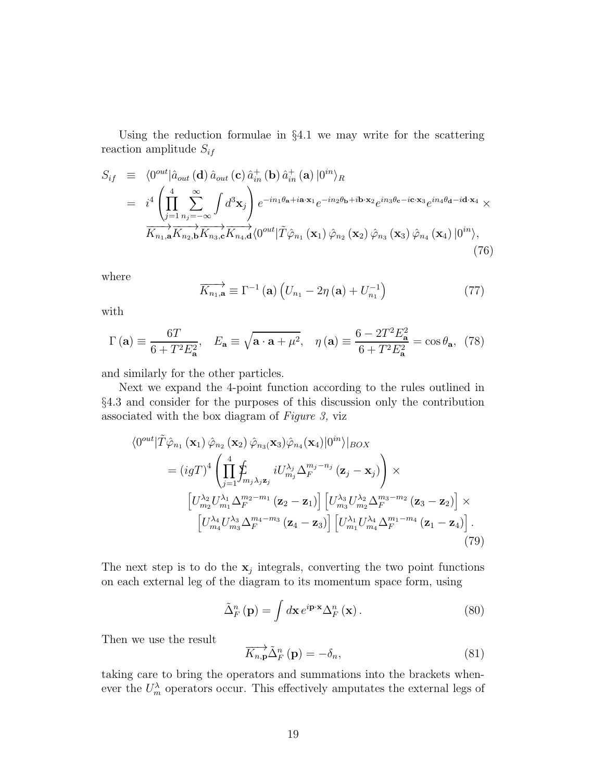Using the reduction formulae in §4.1 we may write for the scattering reaction amplitude  $S_{if}$ 

$$
S_{if} \equiv \langle 0^{out} | \hat{a}_{out} (\mathbf{d}) \hat{a}_{out} (\mathbf{c}) \hat{a}_{in}^{+} (\mathbf{b}) \hat{a}_{in}^{+} (\mathbf{a}) | 0^{in} \rangle_{R}
$$
  
\n
$$
= i^{4} \left( \prod_{j=1}^{4} \sum_{n_{j}=-\infty}^{\infty} \int d^{3} \mathbf{x}_{j} \right) e^{-in_{1}\theta_{\mathbf{a}}+i\mathbf{a}\cdot\mathbf{x}_{1}} e^{-in_{2}\theta_{\mathbf{b}}+i\mathbf{b}\cdot\mathbf{x}_{2}} e^{in_{3}\theta_{\mathbf{c}}-i\mathbf{c}\cdot\mathbf{x}_{3}} e^{in_{4}\theta_{\mathbf{d}}-i\mathbf{d}\cdot\mathbf{x}_{4}} \times
$$
  
\n
$$
\overrightarrow{K_{n_{1},\mathbf{a}}} \overrightarrow{K_{n_{2},\mathbf{b}}} \overrightarrow{K_{n_{3},\mathbf{c}}} \overrightarrow{K_{n_{4},\mathbf{d}}} \langle 0^{out} | \tilde{T} \hat{\varphi}_{n_{1}} (\mathbf{x}_{1}) \hat{\varphi}_{n_{2}} (\mathbf{x}_{2}) \hat{\varphi}_{n_{3}} (\mathbf{x}_{3}) \hat{\varphi}_{n_{4}} (\mathbf{x}_{4}) | 0^{in} \rangle,
$$
\n(76)

where

$$
\overrightarrow{K_{n_1,\mathbf{a}}} \equiv \Gamma^{-1}(\mathbf{a}) \left( U_{n_1} - 2\eta(\mathbf{a}) + U_{n_1}^{-1} \right) \tag{77}
$$

with

$$
\Gamma(\mathbf{a}) \equiv \frac{6T}{6 + T^2 E_\mathbf{a}^2}, \quad E_\mathbf{a} \equiv \sqrt{\mathbf{a} \cdot \mathbf{a} + \mu^2}, \quad \eta(\mathbf{a}) \equiv \frac{6 - 2T^2 E_\mathbf{a}^2}{6 + T^2 E_\mathbf{a}^2} = \cos \theta_\mathbf{a}, \tag{78}
$$

and similarly for the other particles.

Next we expand the 4-point function according to the rules outlined in §4.3 and consider for the purposes of this discussion only the contribution associated with the box diagram of Figure 3, viz

$$
\langle 0^{out} | \tilde{T} \hat{\varphi}_{n_1} (\mathbf{x}_1) \hat{\varphi}_{n_2} (\mathbf{x}_2) \hat{\varphi}_{n_3} (\mathbf{x}_3) \hat{\varphi}_{n_4} (\mathbf{x}_4) | 0^{in} \rangle |_{BOX}
$$
  
\n
$$
= (igT)^4 \left( \prod_{j=1}^4 \oint_{m_j \lambda_j \mathbf{z}_j} iU^{\lambda_j}_{m_j} \Delta_F^{m_j - n_j} (\mathbf{z}_j - \mathbf{x}_j) \right) \times
$$
  
\n
$$
\left[ U^{\lambda_2}_{m_2} U^{\lambda_1}_{m_1} \Delta_F^{m_2 - m_1} (\mathbf{z}_2 - \mathbf{z}_1) \right] \left[ U^{\lambda_3}_{m_3} U^{\lambda_2}_{m_2} \Delta_F^{m_3 - m_2} (\mathbf{z}_3 - \mathbf{z}_2) \right] \times
$$
  
\n
$$
\left[ U^{\lambda_4}_{m_4} U^{\lambda_3}_{m_3} \Delta_F^{m_4 - m_3} (\mathbf{z}_4 - \mathbf{z}_3) \right] \left[ U^{\lambda_1}_{m_1} U^{\lambda_4}_{m_4} \Delta_F^{m_1 - m_4} (\mathbf{z}_1 - \mathbf{z}_4) \right].
$$
  
\n(79)

The next step is to do the  $x_j$  integrals, converting the two point functions on each external leg of the diagram to its momentum space form, using

$$
\tilde{\Delta}_{F}^{n}(\mathbf{p}) = \int d\mathbf{x} e^{i\mathbf{p}\cdot\mathbf{x}} \Delta_{F}^{n}(\mathbf{x}). \tag{80}
$$

Then we use the result

$$
\overrightarrow{K_{n,\mathbf{p}}}\tilde{\Delta}_{F}^{n}\left(\mathbf{p}\right) = -\delta_{n},\tag{81}
$$

taking care to bring the operators and summations into the brackets whenever the  $U_m^{\lambda}$  operators occur. This effectively amputates the external legs of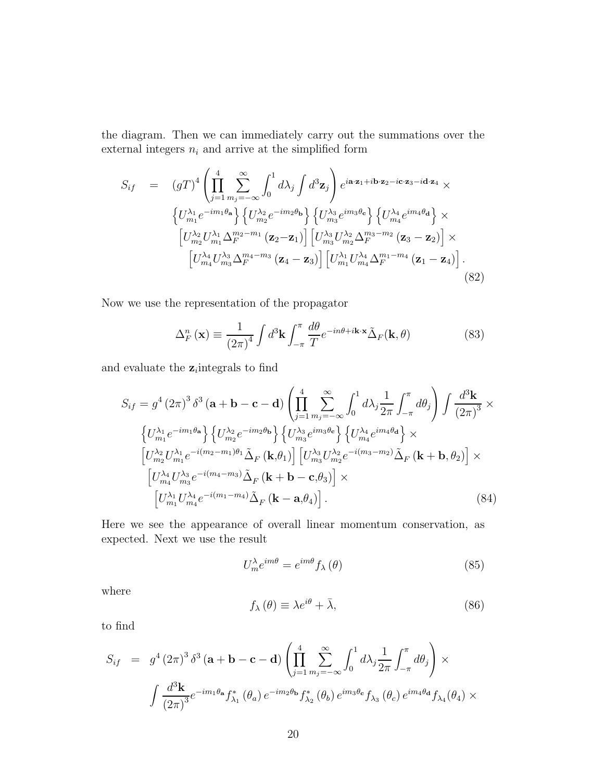the diagram. Then we can immediately carry out the summations over the external integers  $\boldsymbol{n}_i$  and arrive at the simplified form

$$
S_{if} = (gT)^{4} \left( \prod_{j=1}^{4} \sum_{m_{j}=-\infty}^{\infty} \int_{0}^{1} d\lambda_{j} \int d^{3} \mathbf{z}_{j} \right) e^{i\mathbf{a} \cdot \mathbf{z}_{1} + i\mathbf{b} \cdot \mathbf{z}_{2} - i\mathbf{c} \cdot \mathbf{z}_{3} - i\mathbf{d} \cdot \mathbf{z}_{4}} \times
$$
  

$$
\left\{ U_{m_{1}}^{\lambda_{1}} e^{-im_{1}\theta_{\mathbf{a}}} \right\} \left\{ U_{m_{2}}^{\lambda_{2}} e^{-im_{2}\theta_{\mathbf{b}}} \right\} \left\{ U_{m_{3}}^{\lambda_{3}} e^{im_{3}\theta_{\mathbf{c}}} \right\} \left\{ U_{m_{4}}^{\lambda_{4}} e^{im_{4}\theta_{\mathbf{d}}} \right\} \times
$$
  

$$
\left[ U_{m_{2}}^{\lambda_{2}} U_{m_{1}}^{\lambda_{1}} \Delta_{F}^{m_{2} - m_{1}} \left( \mathbf{z}_{2} - \mathbf{z}_{1} \right) \right] \left[ U_{m_{3}}^{\lambda_{3}} U_{m_{2}}^{\lambda_{2}} \Delta_{F}^{m_{3} - m_{2}} \left( \mathbf{z}_{3} - \mathbf{z}_{2} \right) \right] \times
$$
  

$$
\left[ U_{m_{4}}^{\lambda_{4}} U_{m_{3}}^{\lambda_{3}} \Delta_{F}^{m_{4} - m_{3}} \left( \mathbf{z}_{4} - \mathbf{z}_{3} \right) \right] \left[ U_{m_{1}}^{\lambda_{1}} U_{m_{4}}^{\lambda_{4}} \Delta_{F}^{m_{1} - m_{4}} \left( \mathbf{z}_{1} - \mathbf{z}_{4} \right) \right].
$$
  
(82)

Now we use the representation of the propagator

$$
\Delta_F^n(\mathbf{x}) \equiv \frac{1}{(2\pi)^4} \int d^3 \mathbf{k} \int_{-\pi}^{\pi} \frac{d\theta}{T} e^{-in\theta + i\mathbf{k} \cdot \mathbf{x}} \tilde{\Delta}_F(\mathbf{k}, \theta)
$$
(83)

and evaluate the  $z_i$  integrals to find

$$
S_{if} = g^{4} (2\pi)^{3} \delta^{3} (\mathbf{a} + \mathbf{b} - \mathbf{c} - \mathbf{d}) \left( \prod_{j=1}^{4} \sum_{m_{j}=-\infty}^{\infty} \int_{0}^{1} d\lambda_{j} \frac{1}{2\pi} \int_{-\pi}^{\pi} d\theta_{j} \right) \int \frac{d^{3} \mathbf{k}}{(2\pi)^{3}} \times
$$
  
\n
$$
\left\{ U_{m_{1}}^{\lambda_{1}} e^{-im_{1}\theta_{\mathbf{a}}} \right\} \left\{ U_{m_{2}}^{\lambda_{2}} e^{-im_{2}\theta_{\mathbf{b}}} \right\} \left\{ U_{m_{3}}^{\lambda_{3}} e^{im_{3}\theta_{\mathbf{c}}} \right\} \left\{ U_{m_{4}}^{\lambda_{4}} e^{im_{4}\theta_{\mathbf{d}}} \right\} \times
$$
  
\n
$$
\left[ U_{m_{2}}^{\lambda_{2}} U_{m_{1}}^{\lambda_{1}} e^{-i(m_{2} - m_{1})\theta_{1}} \tilde{\Delta}_{F} (\mathbf{k}, \theta_{1}) \right] \left[ U_{m_{3}}^{\lambda_{3}} U_{m_{2}}^{\lambda_{2}} e^{-i(m_{3} - m_{2})} \tilde{\Delta}_{F} (\mathbf{k} + \mathbf{b}, \theta_{2}) \right] \times
$$
  
\n
$$
\left[ U_{m_{4}}^{\lambda_{4}} U_{m_{3}}^{\lambda_{3}} e^{-i(m_{4} - m_{3})} \tilde{\Delta}_{F} (\mathbf{k} + \mathbf{b} - \mathbf{c}, \theta_{3}) \right] \times
$$
  
\n
$$
\left[ U_{m_{1}}^{\lambda_{1}} U_{m_{4}}^{\lambda_{4}} e^{-i(m_{1} - m_{4})} \tilde{\Delta}_{F} (\mathbf{k} - \mathbf{a}, \theta_{4}) \right].
$$
 (84)

Here we see the appearance of overall linear momentum conservation, as expected. Next we use the result

$$
U_m^{\lambda} e^{im\theta} = e^{im\theta} f_{\lambda}(\theta)
$$
 (85)

where

$$
f_{\lambda}(\theta) \equiv \lambda e^{i\theta} + \bar{\lambda}, \qquad (86)
$$

to find

$$
S_{if} = g^{4} (2\pi)^{3} \delta^{3} (\mathbf{a} + \mathbf{b} - \mathbf{c} - \mathbf{d}) \left( \prod_{j=1}^{4} \sum_{m_{j}=-\infty}^{\infty} \int_{0}^{1} d\lambda_{j} \frac{1}{2\pi} \int_{-\pi}^{\pi} d\theta_{j} \right) \times
$$
  

$$
\int \frac{d^{3} \mathbf{k}}{(2\pi)^{3}} e^{-im_{1}\theta_{\mathbf{a}}} f_{\lambda_{1}}^{*} (\theta_{a}) e^{-im_{2}\theta_{\mathbf{b}}} f_{\lambda_{2}}^{*} (\theta_{b}) e^{im_{3}\theta_{\mathbf{c}}} f_{\lambda_{3}} (\theta_{c}) e^{im_{4}\theta_{\mathbf{d}}} f_{\lambda_{4}} (\theta_{4}) \times
$$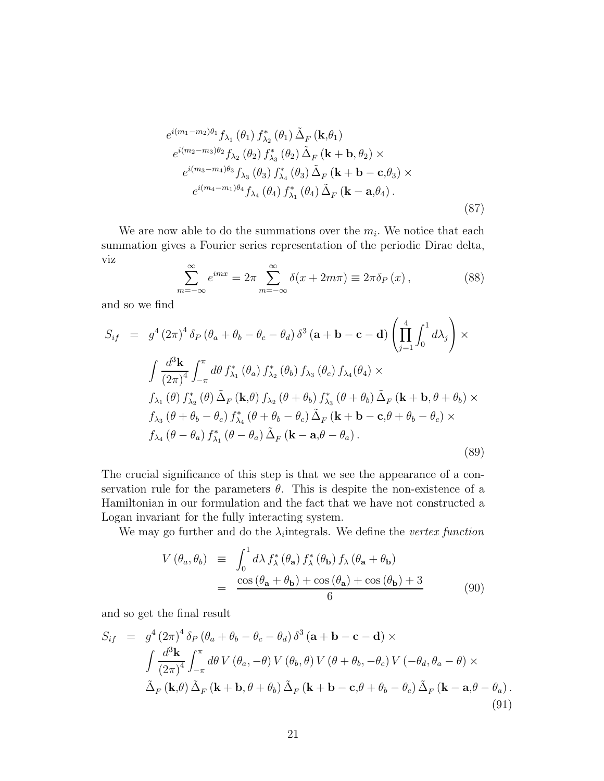<span id="page-20-0"></span>
$$
e^{i(m_1 - m_2)\theta_1} f_{\lambda_1} (\theta_1) f_{\lambda_2}^* (\theta_1) \tilde{\Delta}_F (\mathbf{k}, \theta_1)
$$
  
\n
$$
e^{i(m_2 - m_3)\theta_2} f_{\lambda_2} (\theta_2) f_{\lambda_3}^* (\theta_2) \tilde{\Delta}_F (\mathbf{k} + \mathbf{b}, \theta_2) \times
$$
  
\n
$$
e^{i(m_3 - m_4)\theta_3} f_{\lambda_3} (\theta_3) f_{\lambda_4}^* (\theta_3) \tilde{\Delta}_F (\mathbf{k} + \mathbf{b} - \mathbf{c}, \theta_3) \times
$$
  
\n
$$
e^{i(m_4 - m_1)\theta_4} f_{\lambda_4} (\theta_4) f_{\lambda_1}^* (\theta_4) \tilde{\Delta}_F (\mathbf{k} - \mathbf{a}, \theta_4).
$$
\n(87)

We are now able to do the summations over the  $m_i$ . We notice that each summation gives a Fourier series representation of the periodic Dirac delta, viz

$$
\sum_{m=-\infty}^{\infty} e^{imx} = 2\pi \sum_{m=-\infty}^{\infty} \delta(x + 2m\pi) \equiv 2\pi \delta_P(x), \qquad (88)
$$

 $\sqrt{2}$ 

and so we find

$$
S_{if} = g^{4} (2\pi)^{4} \delta_{P} (\theta_{a} + \theta_{b} - \theta_{c} - \theta_{d}) \delta^{3} (\mathbf{a} + \mathbf{b} - \mathbf{c} - \mathbf{d}) \left( \prod_{j=1}^{4} \int_{0}^{1} d\lambda_{j} \right) \times
$$
  

$$
\int \frac{d^{3} \mathbf{k}}{(2\pi)^{4}} \int_{-\pi}^{\pi} d\theta f_{\lambda_{1}}^{*} (\theta_{a}) f_{\lambda_{2}}^{*} (\theta_{b}) f_{\lambda_{3}} (\theta_{c}) f_{\lambda_{4}} (\theta_{4}) \times
$$
  

$$
f_{\lambda_{1}} (\theta) f_{\lambda_{2}}^{*} (\theta) \tilde{\Delta}_{F} (\mathbf{k}, \theta) f_{\lambda_{2}} (\theta + \theta_{b}) f_{\lambda_{3}}^{*} (\theta + \theta_{b}) \tilde{\Delta}_{F} (\mathbf{k} + \mathbf{b}, \theta + \theta_{b}) \times
$$
  

$$
f_{\lambda_{3}} (\theta + \theta_{b} - \theta_{c}) f_{\lambda_{4}}^{*} (\theta + \theta_{b} - \theta_{c}) \tilde{\Delta}_{F} (\mathbf{k} + \mathbf{b} - \mathbf{c}, \theta + \theta_{b} - \theta_{c}) \times
$$
  

$$
f_{\lambda_{4}} (\theta - \theta_{a}) f_{\lambda_{1}}^{*} (\theta - \theta_{a}) \tilde{\Delta}_{F} (\mathbf{k} - \mathbf{a}, \theta - \theta_{a}).
$$
  
(89)

The crucial significance of this step is that we see the appearance of a conservation rule for the parameters  $\theta$ . This is despite the non-existence of a Hamiltonian in our formulation and the fact that we have not constructed a Logan invariant for the fully interacting system.

We may go further and do the  $\lambda_i$  integrals. We define the vertex function

$$
V(\theta_a, \theta_b) \equiv \int_0^1 d\lambda f^*_{\lambda}(\theta_a) f^*_{\lambda}(\theta_b) f_{\lambda}(\theta_a + \theta_b)
$$
  

$$
= \frac{\cos (\theta_a + \theta_b) + \cos (\theta_a) + \cos (\theta_b) + 3}{6}
$$
(90)

and so get the final result

$$
S_{if} = g^{4} (2\pi)^{4} \delta_{P} (\theta_{a} + \theta_{b} - \theta_{c} - \theta_{d}) \delta^{3} (\mathbf{a} + \mathbf{b} - \mathbf{c} - \mathbf{d}) \times
$$
  

$$
\int \frac{d^{3} \mathbf{k}}{(2\pi)^{4}} \int_{-\pi}^{\pi} d\theta V (\theta_{a}, -\theta) V (\theta_{b}, \theta) V (\theta + \theta_{b}, -\theta_{c}) V (-\theta_{d}, \theta_{a} - \theta) \times
$$
  

$$
\tilde{\Delta}_{F} (\mathbf{k}, \theta) \tilde{\Delta}_{F} (\mathbf{k} + \mathbf{b}, \theta + \theta_{b}) \tilde{\Delta}_{F} (\mathbf{k} + \mathbf{b} - \mathbf{c}, \theta + \theta_{b} - \theta_{c}) \tilde{\Delta}_{F} (\mathbf{k} - \mathbf{a}, \theta - \theta_{a}).
$$
  
(91)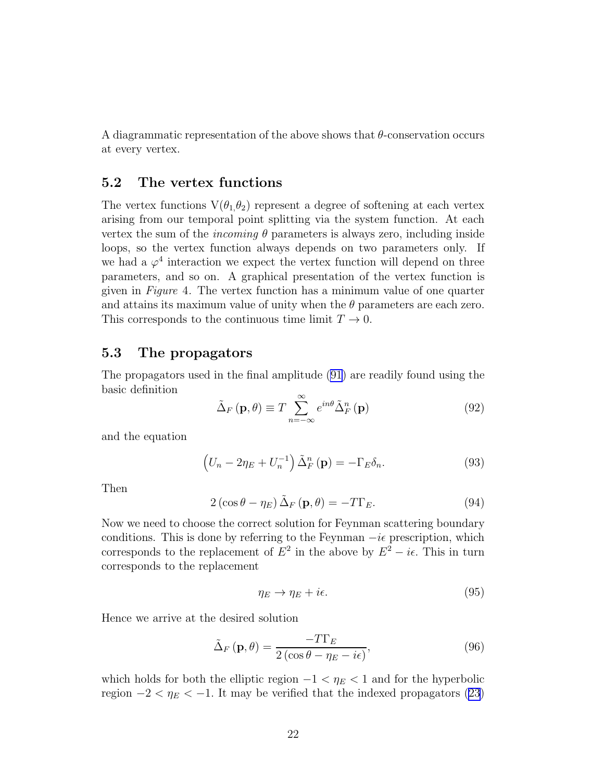<span id="page-21-0"></span>A diagrammatic representation of the above shows that  $\theta$ -conservation occurs at every vertex.

#### 5.2 The vertex functions

The vertex functions  $V(\theta_1,\theta_2)$  represent a degree of softening at each vertex arising from our temporal point splitting via the system function. At each vertex the sum of the *incoming*  $\theta$  parameters is always zero, including inside loops, so the vertex function always depends on two parameters only. If we had a  $\varphi^4$  interaction we expect the vertex function will depend on three parameters, and so on. A graphical presentation of the vertex function is given in Figure 4. The vertex function has a minimum value of one quarter and attains its maximum value of unity when the  $\theta$  parameters are each zero. This corresponds to the continuous time limit  $T \to 0$ .

#### 5.3 The propagators

The propagators used in the final amplitude [\(91\)](#page-20-0) are readily found using the basic definition

$$
\tilde{\Delta}_F(\mathbf{p}, \theta) \equiv T \sum_{n = -\infty}^{\infty} e^{in\theta} \tilde{\Delta}_F^n(\mathbf{p})
$$
\n(92)

and the equation

$$
\left(U_n - 2\eta_E + U_n^{-1}\right)\tilde{\Delta}_F^n\left(\mathbf{p}\right) = -\Gamma_E\delta_n.\tag{93}
$$

Then

$$
2\left(\cos\theta - \eta_E\right)\tilde{\Delta}_F\left(\mathbf{p}, \theta\right) = -T\Gamma_E.
$$
\n(94)

Now we need to choose the correct solution for Feynman scattering boundary conditions. This is done by referring to the Feynman  $-i\epsilon$  prescription, which corresponds to the replacement of  $E^2$  in the above by  $E^2 - i\epsilon$ . This in turn corresponds to the replacement

$$
\eta_E \to \eta_E + i\epsilon. \tag{95}
$$

Hence we arrive at the desired solution

$$
\tilde{\Delta}_F(\mathbf{p}, \theta) = \frac{-T\Gamma_E}{2\left(\cos\theta - \eta_E - i\epsilon\right)},\tag{96}
$$

which holds for both the elliptic region  $-1 < \eta_E < 1$  and for the hyperbolic region  $-2 < \eta_E < -1$ . It may be verified that the indexed propagators [\(23\)](#page-8-0)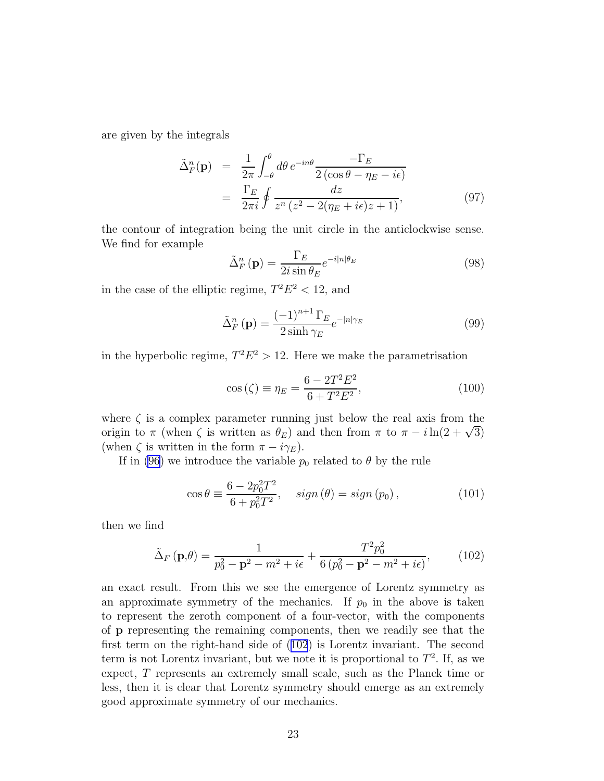<span id="page-22-0"></span>are given by the integrals

$$
\tilde{\Delta}_F^n(\mathbf{p}) = \frac{1}{2\pi} \int_{-\theta}^{\theta} d\theta \, e^{-in\theta} \frac{-\Gamma_E}{2(\cos\theta - \eta_E - i\epsilon)} \n= \frac{\Gamma_E}{2\pi i} \oint \frac{dz}{z^n (z^2 - 2(\eta_E + i\epsilon)z + 1)},
$$
\n(97)

the contour of integration being the unit circle in the anticlockwise sense. We find for example

$$
\tilde{\Delta}_F^n(\mathbf{p}) = \frac{\Gamma_E}{2i \sin \theta_E} e^{-i|n|\theta_E} \tag{98}
$$

in the case of the elliptic regime,  $T^2 E^2 < 12$ , and

$$
\tilde{\Delta}_F^n(\mathbf{p}) = \frac{(-1)^{n+1} \Gamma_E}{2 \sinh \gamma_E} e^{-|n|\gamma_E} \tag{99}
$$

in the hyperbolic regime,  $T^2E^2 > 12$ . Here we make the parametrisation

$$
\cos\left(\zeta\right) \equiv \eta_E = \frac{6 - 2T^2 E^2}{6 + T^2 E^2},\tag{100}
$$

where  $\zeta$  is a complex parameter running just below the real axis from the origin to  $\pi$  (when  $\zeta$  is written as  $\theta_E$ ) and then from  $\pi$  to  $\pi - i \ln(2 + \sqrt{3})$ (when  $\zeta$  is written in the form  $\pi - i\gamma_E$ ).

If in [\(96](#page-21-0)) we introduce the variable  $p_0$  related to  $\theta$  by the rule

$$
\cos \theta \equiv \frac{6 - 2p_0^2 T^2}{6 + p_0^2 T^2}, \quad sign(\theta) = sign(p_0), \tag{101}
$$

then we find

$$
\tilde{\Delta}_F(\mathbf{p}, \theta) = \frac{1}{p_0^2 - \mathbf{p}^2 - m^2 + i\epsilon} + \frac{T^2 p_0^2}{6 (p_0^2 - \mathbf{p}^2 - m^2 + i\epsilon)},\tag{102}
$$

an exact result. From this we see the emergence of Lorentz symmetry as an approximate symmetry of the mechanics. If  $p_0$  in the above is taken to represent the zeroth component of a four-vector, with the components of p representing the remaining components, then we readily see that the first term on the right-hand side of (102) is Lorentz invariant. The second term is not Lorentz invariant, but we note it is proportional to  $T^2$ . If, as we expect, T represents an extremely small scale, such as the Planck time or less, then it is clear that Lorentz symmetry should emerge as an extremely good approximate symmetry of our mechanics.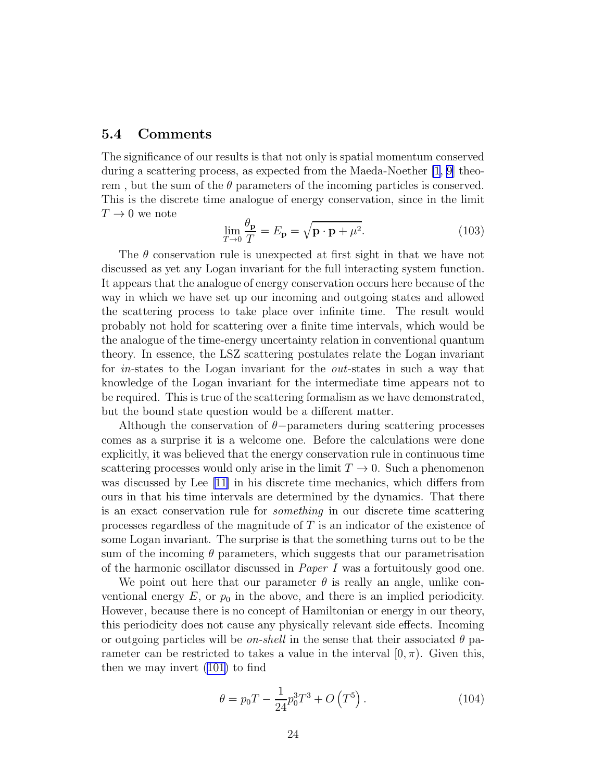#### 5.4 Comments

The significance of our results is that not only is spatial momentum conserved during a scattering process, as expected from the Maeda-Noether [\[1](#page-28-0), [9\]](#page-28-0) theorem, but the sum of the  $\theta$  parameters of the incoming particles is conserved. This is the discrete time analogue of energy conservation, since in the limit  $T\rightarrow 0$  we note

$$
\lim_{T \to 0} \frac{\theta_{\mathbf{p}}}{T} = E_{\mathbf{p}} = \sqrt{\mathbf{p} \cdot \mathbf{p} + \mu^2}.
$$
\n(103)

The  $\theta$  conservation rule is unexpected at first sight in that we have not discussed as yet any Logan invariant for the full interacting system function. It appears that the analogue of energy conservation occurs here because of the way in which we have set up our incoming and outgoing states and allowed the scattering process to take place over infinite time. The result would probably not hold for scattering over a finite time intervals, which would be the analogue of the time-energy uncertainty relation in conventional quantum theory. In essence, the LSZ scattering postulates relate the Logan invariant for in-states to the Logan invariant for the out-states in such a way that knowledge of the Logan invariant for the intermediate time appears not to be required. This is true of the scattering formalism as we have demonstrated, but the bound state question would be a different matter.

Although the conservation of  $\theta$ −parameters during scattering processes comes as a surprise it is a welcome one. Before the calculations were done explicitly, it was believed that the energy conservation rule in continuous time scattering processes would only arise in the limit  $T \to 0$ . Such a phenomenon was discussed by Lee [\[11\]](#page-28-0) in his discrete time mechanics, which differs from ours in that his time intervals are determined by the dynamics. That there is an exact conservation rule for something in our discrete time scattering processes regardless of the magnitude of T is an indicator of the existence of some Logan invariant. The surprise is that the something turns out to be the sum of the incoming  $\theta$  parameters, which suggests that our parametrisation of the harmonic oscillator discussed in *Paper I* was a fortuitously good one.

We point out here that our parameter  $\theta$  is really an angle, unlike conventional energy  $E$ , or  $p_0$  in the above, and there is an implied periodicity. However, because there is no concept of Hamiltonian or energy in our theory, this periodicity does not cause any physically relevant side effects. Incoming or outgoing particles will be *on-shell* in the sense that their associated  $\theta$  parameter can be restricted to takes a value in the interval  $(0, \pi)$ . Given this, then we may invert [\(101\)](#page-22-0) to find

$$
\theta = p_0 T - \frac{1}{24} p_0^3 T^3 + O\left(T^5\right). \tag{104}
$$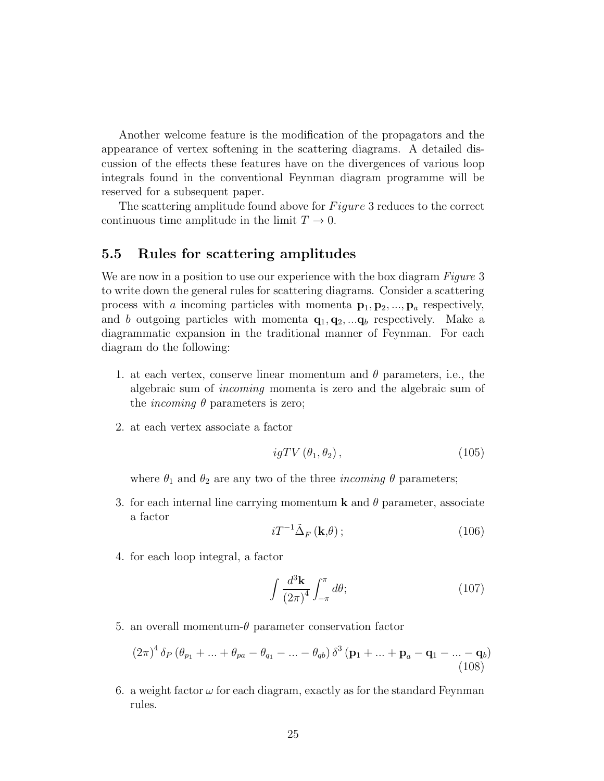Another welcome feature is the modification of the propagators and the appearance of vertex softening in the scattering diagrams. A detailed discussion of the effects these features have on the divergences of various loop integrals found in the conventional Feynman diagram programme will be reserved for a subsequent paper.

The scattering amplitude found above for  $Figure 3$  reduces to the correct continuous time amplitude in the limit  $T \to 0$ .

#### 5.5 Rules for scattering amplitudes

We are now in a position to use our experience with the box diagram *Figure* 3 to write down the general rules for scattering diagrams. Consider a scattering process with a incoming particles with momenta  $p_1, p_2, ..., p_a$  respectively, and b outgoing particles with momenta  $\mathbf{q}_1, \mathbf{q}_2, \dots, \mathbf{q}_b$  respectively. Make a diagrammatic expansion in the traditional manner of Feynman. For each diagram do the following:

- 1. at each vertex, conserve linear momentum and  $\theta$  parameters, i.e., the algebraic sum of incoming momenta is zero and the algebraic sum of the *incoming*  $\theta$  parameters is zero;
- 2. at each vertex associate a factor

$$
igTV\left(\theta_1, \theta_2\right),\tag{105}
$$

where  $\theta_1$  and  $\theta_2$  are any two of the three *incoming*  $\theta$  parameters;

3. for each internal line carrying momentum **k** and  $\theta$  parameter, associate a factor

$$
i T^{-1} \tilde{\Delta}_F (\mathbf{k}, \theta); \tag{106}
$$

4. for each loop integral, a factor

$$
\int \frac{d^3 \mathbf{k}}{(2\pi)^4} \int_{-\pi}^{\pi} d\theta; \tag{107}
$$

5. an overall momentum- $\theta$  parameter conservation factor

$$
(2\pi)^4 \delta_P (\theta_{p_1} + \ldots + \theta_{pa} - \theta_{q_1} - \ldots - \theta_{qb}) \delta^3 (\mathbf{p}_1 + \ldots + \mathbf{p}_a - \mathbf{q}_1 - \ldots - \mathbf{q}_b)
$$
\n(108)

6. a weight factor  $\omega$  for each diagram, exactly as for the standard Feynman rules.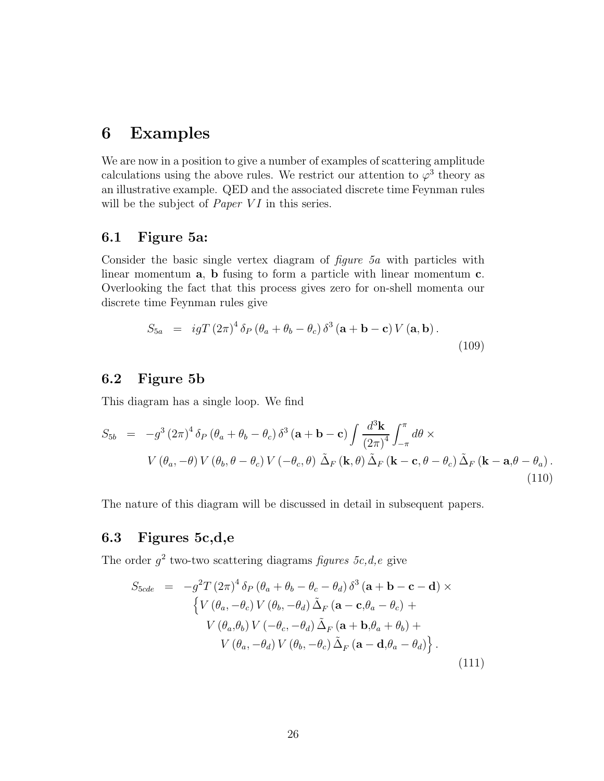# 6 Examples

We are now in a position to give a number of examples of scattering amplitude calculations using the above rules. We restrict our attention to  $\varphi^3$  theory as an illustrative example. QED and the associated discrete time Feynman rules will be the subject of *Paper VI* in this series.

### 6.1 Figure 5a:

Consider the basic single vertex diagram of figure 5a with particles with linear momentum a, b fusing to form a particle with linear momentum c. Overlooking the fact that this process gives zero for on-shell momenta our discrete time Feynman rules give

$$
S_{5a} = igT (2\pi)^4 \delta_P (\theta_a + \theta_b - \theta_c) \delta^3 (\mathbf{a} + \mathbf{b} - \mathbf{c}) V (\mathbf{a}, \mathbf{b}).
$$
\n(109)

#### 6.2 Figure 5b

This diagram has a single loop. We find

$$
S_{5b} = -g^3 (2\pi)^4 \delta_P (\theta_a + \theta_b - \theta_c) \delta^3 (\mathbf{a} + \mathbf{b} - \mathbf{c}) \int \frac{d^3 \mathbf{k}}{(2\pi)^4} \int_{-\pi}^{\pi} d\theta \times
$$
  
\n
$$
V(\theta_a, -\theta) V(\theta_b, \theta - \theta_c) V(-\theta_c, \theta) \tilde{\Delta}_F (\mathbf{k}, \theta) \tilde{\Delta}_F (\mathbf{k} - \mathbf{c}, \theta - \theta_c) \tilde{\Delta}_F (\mathbf{k} - \mathbf{a}, \theta - \theta_a).
$$
\n(110)

The nature of this diagram will be discussed in detail in subsequent papers.

### 6.3 Figures 5c,d,e

The order  $g^2$  two-two scattering diagrams figures 5c, d, e give

$$
S_{5cde} = -g^2 T (2\pi)^4 \delta_P (\theta_a + \theta_b - \theta_c - \theta_d) \delta^3 (\mathbf{a} + \mathbf{b} - \mathbf{c} - \mathbf{d}) \times
$$
  
\n
$$
\{ V (\theta_a, -\theta_c) V (\theta_b, -\theta_d) \tilde{\Delta}_F (\mathbf{a} - \mathbf{c}, \theta_a - \theta_c) +
$$
  
\n
$$
V (\theta_a, \theta_b) V (-\theta_c, -\theta_d) \tilde{\Delta}_F (\mathbf{a} + \mathbf{b}, \theta_a + \theta_b) +
$$
  
\n
$$
V (\theta_a, -\theta_d) V (\theta_b, -\theta_c) \tilde{\Delta}_F (\mathbf{a} - \mathbf{d}, \theta_a - \theta_d) \}.
$$
\n(111)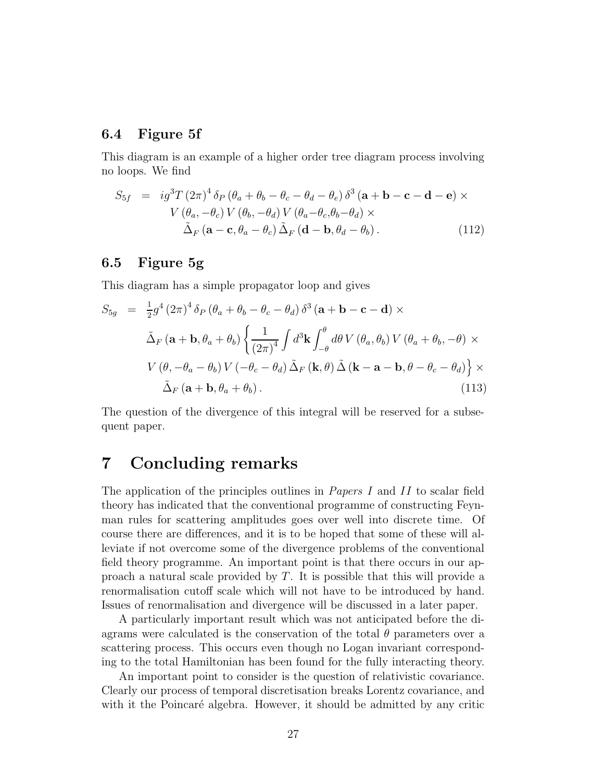### 6.4 Figure 5f

This diagram is an example of a higher order tree diagram process involving no loops. We find

$$
S_{5f} = ig^{3}T (2\pi)^{4} \delta_{P} (\theta_{a} + \theta_{b} - \theta_{c} - \theta_{d} - \theta_{e}) \delta^{3} (\mathbf{a} + \mathbf{b} - \mathbf{c} - \mathbf{d} - \mathbf{e}) \times
$$
  
\n
$$
V (\theta_{a}, -\theta_{c}) V (\theta_{b}, -\theta_{d}) V (\theta_{a} - \theta_{c}, \theta_{b} - \theta_{d}) \times
$$
  
\n
$$
\tilde{\Delta}_{F} (\mathbf{a} - \mathbf{c}, \theta_{a} - \theta_{c}) \tilde{\Delta}_{F} (\mathbf{d} - \mathbf{b}, \theta_{d} - \theta_{b}).
$$
\n(112)

#### 6.5 Figure 5g

This diagram has a simple propagator loop and gives

$$
S_{5g} = \frac{1}{2}g^4 (2\pi)^4 \delta_P (\theta_a + \theta_b - \theta_c - \theta_d) \delta^3 (\mathbf{a} + \mathbf{b} - \mathbf{c} - \mathbf{d}) \times
$$
  

$$
\tilde{\Delta}_F (\mathbf{a} + \mathbf{b}, \theta_a + \theta_b) \left\{ \frac{1}{(2\pi)^4} \int d^3 \mathbf{k} \int_{-\theta}^{\theta} d\theta V (\theta_a, \theta_b) V (\theta_a + \theta_b, -\theta) \times
$$
  

$$
V (\theta, -\theta_a - \theta_b) V (-\theta_c - \theta_d) \tilde{\Delta}_F (\mathbf{k}, \theta) \tilde{\Delta} (\mathbf{k} - \mathbf{a} - \mathbf{b}, \theta - \theta_c - \theta_d) \right\} \times
$$
  

$$
\tilde{\Delta}_F (\mathbf{a} + \mathbf{b}, \theta_a + \theta_b).
$$
 (113)

The question of the divergence of this integral will be reserved for a subsequent paper.

# 7 Concluding remarks

The application of the principles outlines in *Papers I* and II to scalar field theory has indicated that the conventional programme of constructing Feynman rules for scattering amplitudes goes over well into discrete time. Of course there are differences, and it is to be hoped that some of these will alleviate if not overcome some of the divergence problems of the conventional field theory programme. An important point is that there occurs in our approach a natural scale provided by T. It is possible that this will provide a renormalisation cutoff scale which will not have to be introduced by hand. Issues of renormalisation and divergence will be discussed in a later paper.

A particularly important result which was not anticipated before the diagrams were calculated is the conservation of the total  $\theta$  parameters over a scattering process. This occurs even though no Logan invariant corresponding to the total Hamiltonian has been found for the fully interacting theory.

An important point to consider is the question of relativistic covariance. Clearly our process of temporal discretisation breaks Lorentz covariance, and with it the Poincaré algebra. However, it should be admitted by any critic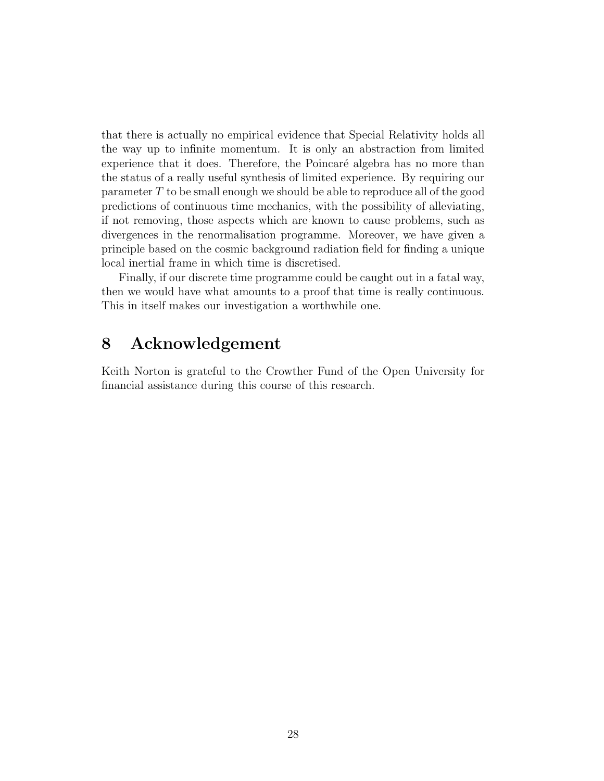that there is actually no empirical evidence that Special Relativity holds all the way up to infinite momentum. It is only an abstraction from limited experience that it does. Therefore, the Poincaré algebra has no more than the status of a really useful synthesis of limited experience. By requiring our parameter T to be small enough we should be able to reproduce all of the good predictions of continuous time mechanics, with the possibility of alleviating, if not removing, those aspects which are known to cause problems, such as divergences in the renormalisation programme. Moreover, we have given a principle based on the cosmic background radiation field for finding a unique local inertial frame in which time is discretised.

Finally, if our discrete time programme could be caught out in a fatal way, then we would have what amounts to a proof that time is really continuous. This in itself makes our investigation a worthwhile one.

# 8 Acknowledgement

Keith Norton is grateful to the Crowther Fund of the Open University for financial assistance during this course of this research.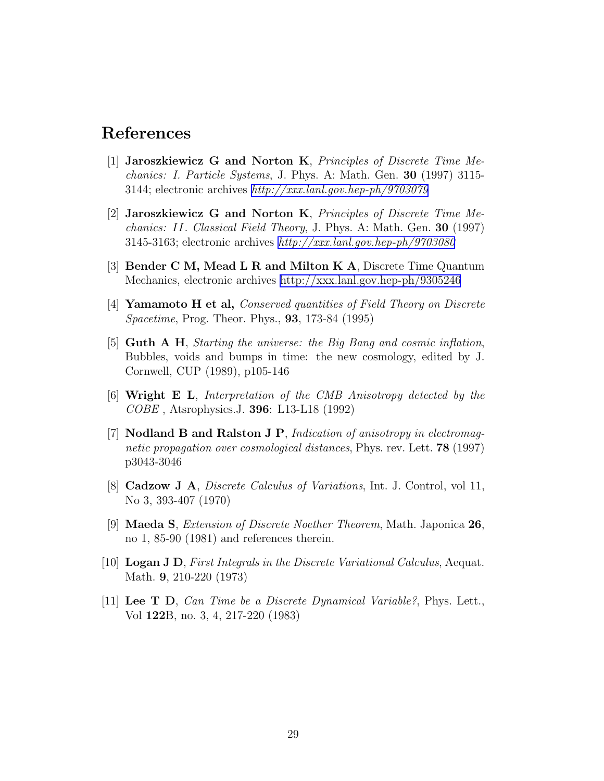# <span id="page-28-0"></span>References

- [1] Jaroszkiewicz G and Norton K, Principles of Discrete Time Mechanics: I. Particle Systems, J. Phys. A: Math. Gen. 30 (1997) 3115- 3144; electronic archives [http://xxx.lanl.gov.hep-ph/9703079](http://xxx.lanl.gov.\protect \vrule width0pt\protect \begingroup \catcode `%\active \def %{%}\catcode `#\active \def )
- [2] Jaroszkiewicz G and Norton K, Principles of Discrete Time Mechanics: II. Classical Field Theory, J. Phys. A: Math. Gen. 30 (1997) 3145-3163; electronic archives [http://xxx.lanl.gov.hep-ph/9703080](http://xxx.lanl.gov.\protect \vrule width0pt\protect \begingroup \catcode `%\active \def %{%}\catcode `#\active \def )
- [3] Bender C M, Mead L R and Milton K A, Discrete Time Quantum Mechanics, electronic archives [http://xxx.lanl.gov.hep-ph/9305246](http://xxx.lanl.gov.\protect \vrule width0pt\protect \begingroup \catcode `%\active \def %{%}\catcode `#\active \def )
- [4] Yamamoto H et al, Conserved quantities of Field Theory on Discrete Spacetime, Prog. Theor. Phys., 93, 173-84 (1995)
- [5] Guth A H, Starting the universe: the Big Bang and cosmic inflation, Bubbles, voids and bumps in time: the new cosmology, edited by J. Cornwell, CUP (1989), p105-146
- [6] Wright E L, Interpretation of the CMB Anisotropy detected by the COBE , Atsrophysics.J. 396: L13-L18 (1992)
- [7] Nodland B and Ralston J P, Indication of anisotropy in electromagnetic propagation over cosmological distances, Phys. rev. Lett. **78** (1997) p3043-3046
- [8] Cadzow J A, Discrete Calculus of Variations, Int. J. Control, vol 11, No 3, 393-407 (1970)
- [9] Maeda S, Extension of Discrete Noether Theorem, Math. Japonica 26, no 1, 85-90 (1981) and references therein.
- [10] Logan J D, First Integrals in the Discrete Variational Calculus, Aequat. Math. 9, 210-220 (1973)
- [11] Lee T D, Can Time be a Discrete Dynamical Variable?, Phys. Lett., Vol 122B, no. 3, 4, 217-220 (1983)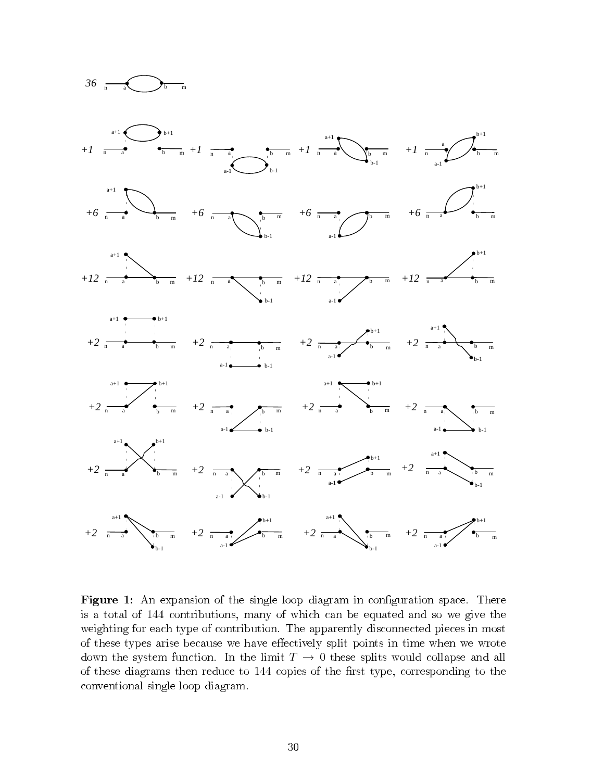

**Figure 1:** An expansion of the single loop diagram in configuration space. There is a total of 144 contributions, many of which can be equated and so we give the weighting for each type of contribution. The apparently disconnected pieces in most of these types arise because we have effectively split points in time when we wrote down the system function. In the limit  $T \to 0$  these splits would collapse and all of these diagrams then reduce to 144 copies of the first type, corresponding to the conventional single loop diagram.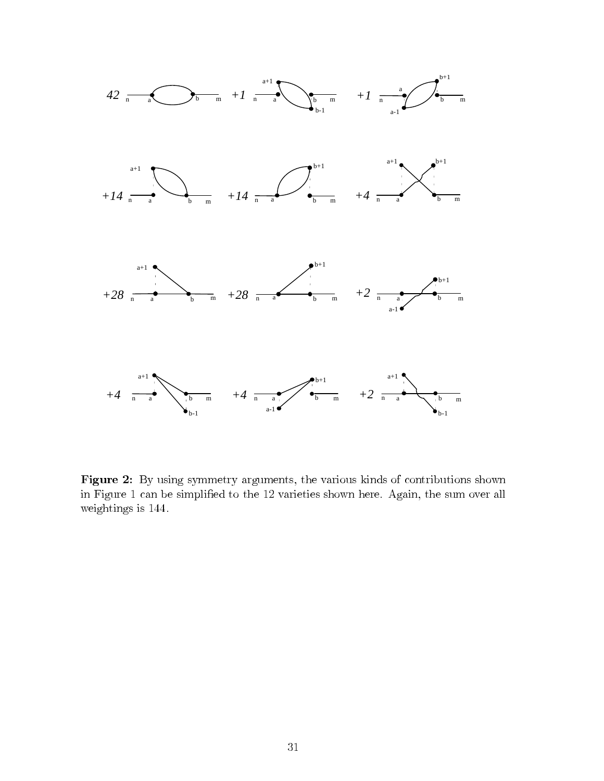

Figure 2: By using symmetry arguments, the various kinds of contributions shown in Figure 1 can be simplified to the 12 varieties shown here. Again, the sum over all weightings is  $144$ .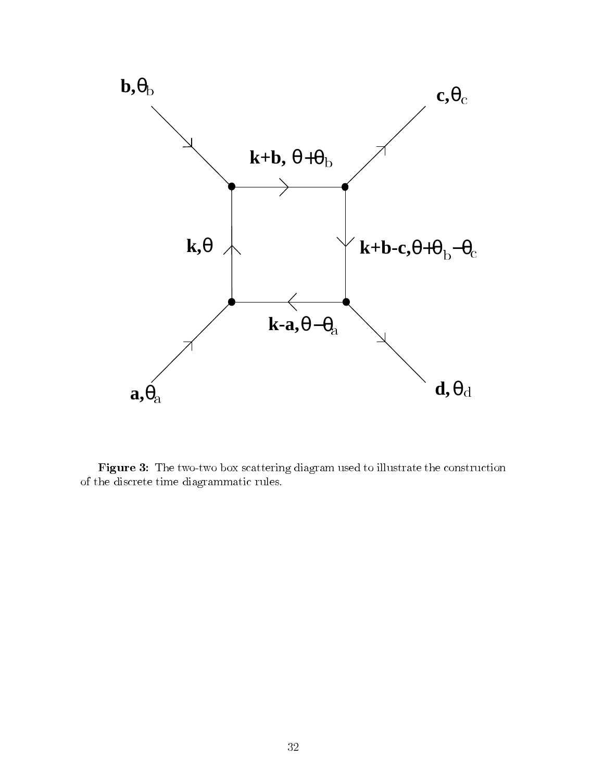

Figure 3: The two-two box scattering diagram used to illustrate the construction of the discrete time diagrammatic rules.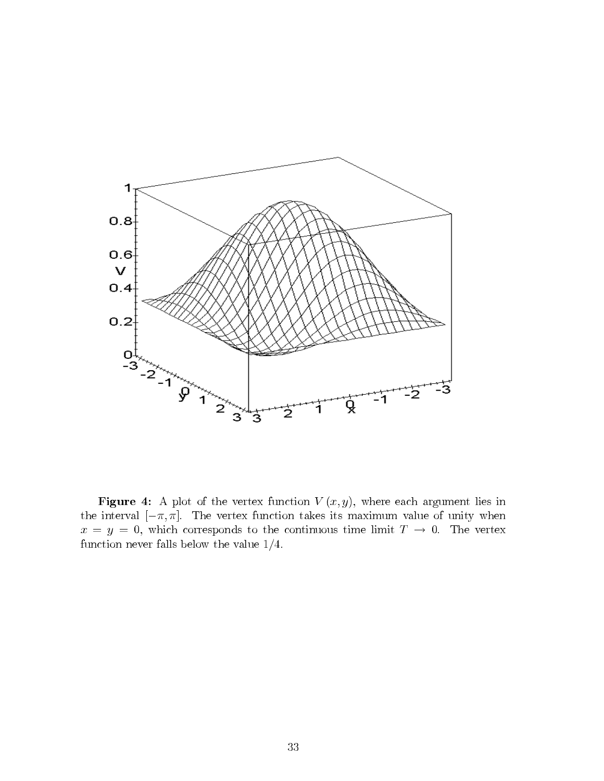

Figure 4: A plot of the vertex function  $V(x, y)$ , where each argument lies in the interval  $[-\pi, \pi]$ . The vertex function takes its maximum value of unity when  $x = y = 0$ , which corresponds to the continuous time limit  $T \to 0$ . The vertex function never falls below the value  $1/4$ .